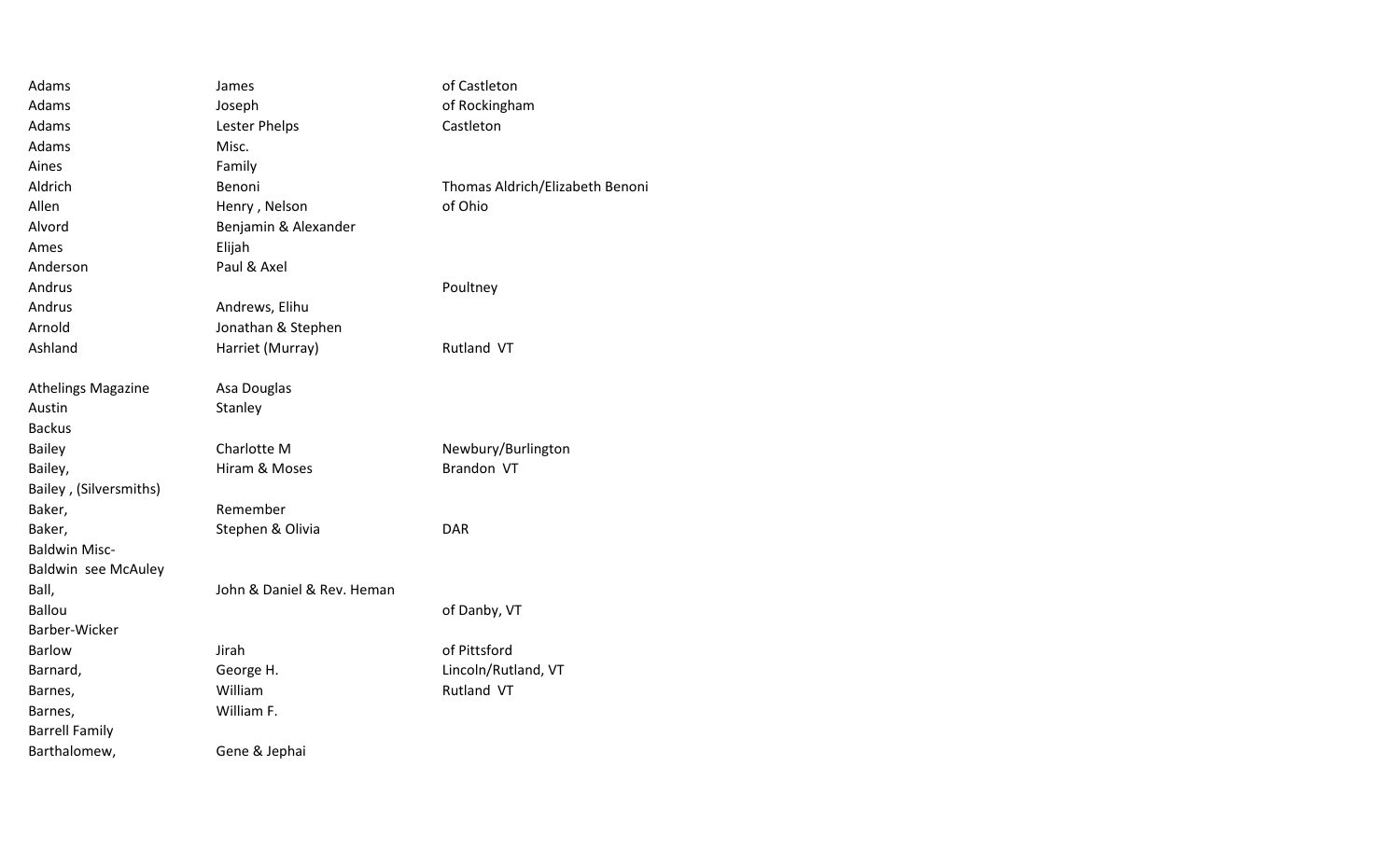| Adams                      | James                      | of Castleton                    |
|----------------------------|----------------------------|---------------------------------|
| Adams                      | Joseph                     | of Rockingham                   |
| Adams                      | Lester Phelps              | Castleton                       |
| Adams                      | Misc.                      |                                 |
| Aines                      | Family                     |                                 |
| Aldrich                    | Benoni                     | Thomas Aldrich/Elizabeth Benoni |
| Allen                      | Henry, Nelson              | of Ohio                         |
| Alvord                     | Benjamin & Alexander       |                                 |
| Ames                       | Elijah                     |                                 |
| Anderson                   | Paul & Axel                |                                 |
| Andrus                     |                            | Poultney                        |
| Andrus                     | Andrews, Elihu             |                                 |
| Arnold                     | Jonathan & Stephen         |                                 |
| Ashland                    | Harriet (Murray)           | Rutland VT                      |
|                            |                            |                                 |
| <b>Athelings Magazine</b>  | Asa Douglas                |                                 |
| Austin                     | Stanley                    |                                 |
| <b>Backus</b>              |                            |                                 |
| <b>Bailey</b>              | Charlotte M                | Newbury/Burlington              |
| Bailey,                    | Hiram & Moses              | Brandon VT                      |
| Bailey, (Silversmiths)     |                            |                                 |
| Baker,                     | Remember                   |                                 |
| Baker,                     | Stephen & Olivia           | <b>DAR</b>                      |
| <b>Baldwin Misc-</b>       |                            |                                 |
| <b>Baldwin see McAuley</b> |                            |                                 |
| Ball,                      | John & Daniel & Rev. Heman |                                 |
| <b>Ballou</b>              |                            | of Danby, VT                    |
| Barber-Wicker              |                            |                                 |
| <b>Barlow</b>              | Jirah                      | of Pittsford                    |
| Barnard,                   | George H.                  | Lincoln/Rutland, VT             |
| Barnes,                    | William                    | Rutland VT                      |
| Barnes,                    | William F.                 |                                 |
| <b>Barrell Family</b>      |                            |                                 |
| Barthalomew,               | Gene & Jephai              |                                 |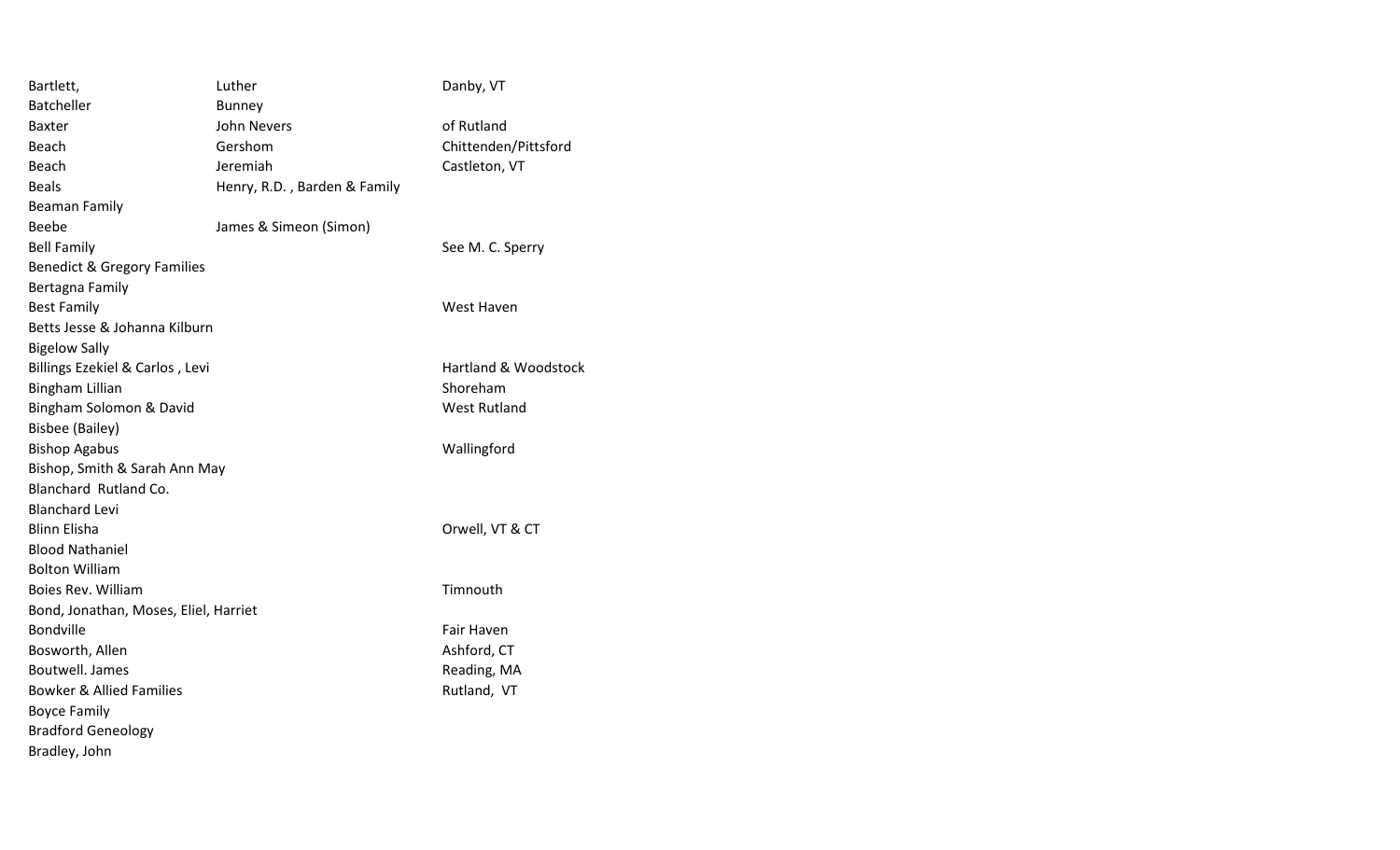| Bartlett,                              | Luther                       | Danby, VT                       |
|----------------------------------------|------------------------------|---------------------------------|
| <b>Batcheller</b>                      | <b>Bunney</b>                |                                 |
| <b>Baxter</b>                          | <b>John Nevers</b>           | of Rutland                      |
| Beach                                  | Gershom                      | Chittenden/Pittsford            |
| Beach                                  | Jeremiah                     | Castleton, VT                   |
| <b>Beals</b>                           | Henry, R.D., Barden & Family |                                 |
| <b>Beaman Family</b>                   |                              |                                 |
| Beebe                                  | James & Simeon (Simon)       |                                 |
| <b>Bell Family</b>                     |                              | See M. C. Sperry                |
| <b>Benedict &amp; Gregory Families</b> |                              |                                 |
| Bertagna Family                        |                              |                                 |
| <b>Best Family</b>                     |                              | West Haven                      |
| Betts Jesse & Johanna Kilburn          |                              |                                 |
| <b>Bigelow Sally</b>                   |                              |                                 |
| Billings Ezekiel & Carlos, Levi        |                              | <b>Hartland &amp; Woodstock</b> |
| <b>Bingham Lillian</b>                 |                              | Shoreham                        |
| Bingham Solomon & David                |                              | <b>West Rutland</b>             |
| <b>Bisbee (Bailey)</b>                 |                              |                                 |
| <b>Bishop Agabus</b>                   |                              | Wallingford                     |
| Bishop, Smith & Sarah Ann May          |                              |                                 |
| Blanchard Rutland Co.                  |                              |                                 |
| <b>Blanchard Levi</b>                  |                              |                                 |
| <b>Blinn Elisha</b>                    |                              | Orwell, VT & CT                 |
| <b>Blood Nathaniel</b>                 |                              |                                 |
| <b>Bolton William</b>                  |                              |                                 |
| Boies Rev. William                     |                              | Timnouth                        |
| Bond, Jonathan, Moses, Eliel, Harriet  |                              |                                 |
| Bondville                              |                              | Fair Haven                      |
| Bosworth, Allen                        |                              | Ashford, CT                     |
| <b>Boutwell. James</b>                 |                              | Reading, MA                     |
| <b>Bowker &amp; Allied Families</b>    |                              | Rutland, VT                     |
| <b>Boyce Family</b>                    |                              |                                 |
| <b>Bradford Geneology</b>              |                              |                                 |
| Bradley, John                          |                              |                                 |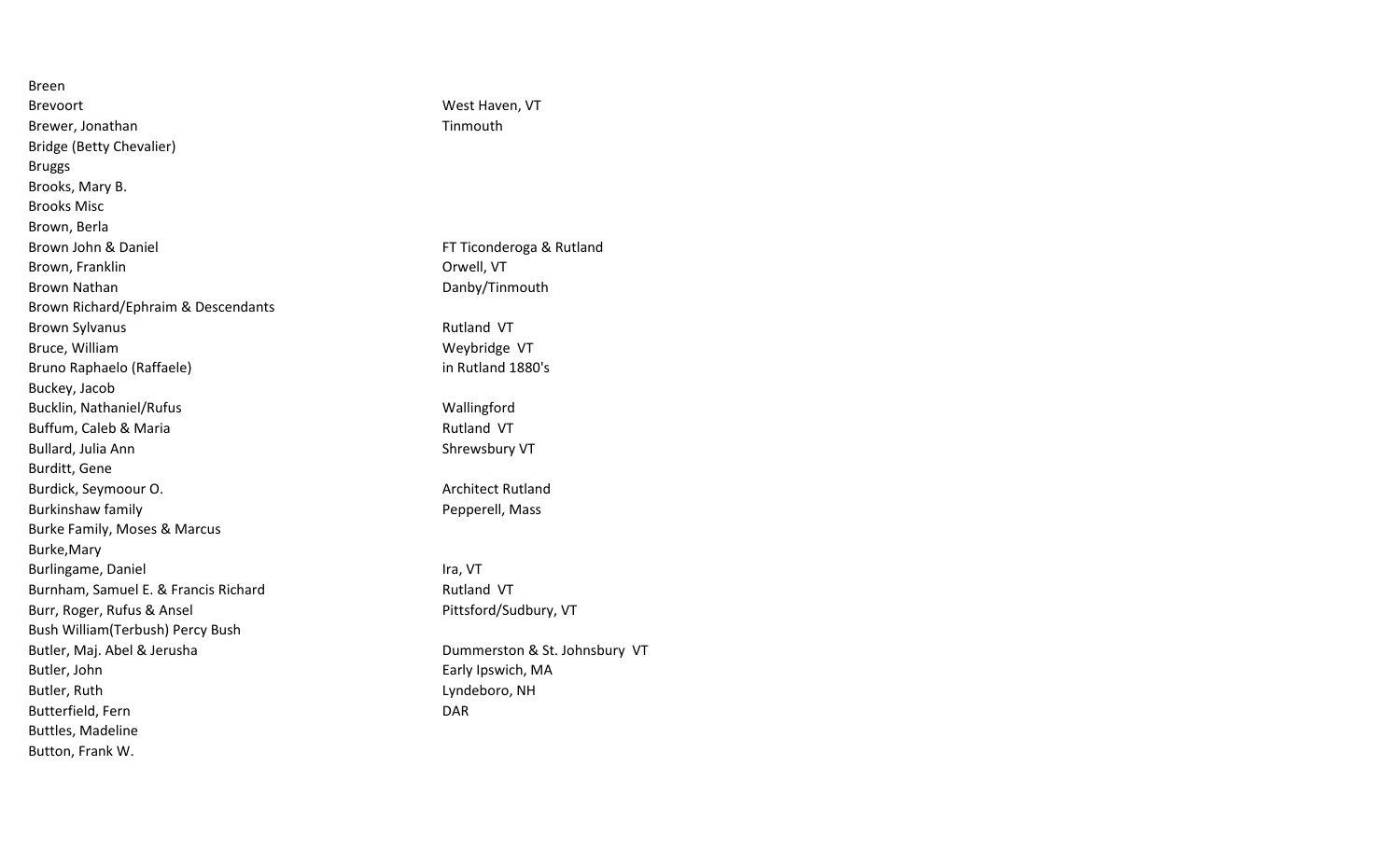| <b>Breen</b>                            |                               |
|-----------------------------------------|-------------------------------|
| <b>Brevoort</b>                         | West Haven, VT                |
| Brewer, Jonathan                        | Tinmouth                      |
| Bridge (Betty Chevalier)                |                               |
| <b>Bruggs</b>                           |                               |
| Brooks, Mary B.                         |                               |
| <b>Brooks Misc</b>                      |                               |
| Brown, Berla                            |                               |
| Brown John & Daniel                     | FT Ticonderoga & Rutland      |
| Brown, Franklin                         | Orwell, VT                    |
| <b>Brown Nathan</b>                     | Danby/Tinmouth                |
| Brown Richard/Ephraim & Descendants     |                               |
| <b>Brown Sylvanus</b>                   | Rutland VT                    |
| Bruce, William                          | Weybridge VT                  |
| Bruno Raphaelo (Raffaele)               | in Rutland 1880's             |
| Buckey, Jacob                           |                               |
| Bucklin, Nathaniel/Rufus                | Wallingford                   |
| Buffum, Caleb & Maria                   | Rutland VT                    |
| Bullard, Julia Ann                      | Shrewsbury VT                 |
| Burditt, Gene                           |                               |
| Burdick, Seymoour O.                    | <b>Architect Rutland</b>      |
| Burkinshaw family                       | Pepperell, Mass               |
| <b>Burke Family, Moses &amp; Marcus</b> |                               |
| Burke, Mary                             |                               |
| Burlingame, Daniel                      | Ira, VT                       |
| Burnham, Samuel E. & Francis Richard    | Rutland VT                    |
| Burr, Roger, Rufus & Ansel              | Pittsford/Sudbury, VT         |
| Bush William (Terbush) Percy Bush       |                               |
| Butler, Maj. Abel & Jerusha             | Dummerston & St. Johnsbury VT |
| Butler, John                            | Early Ipswich, MA             |
| Butler, Ruth                            | Lyndeboro, NH                 |
| Butterfield, Fern                       | <b>DAR</b>                    |
| Buttles, Madeline                       |                               |
| Button, Frank W.                        |                               |

| Ticonderoga & Rutland<br>well, VT<br>anby/Tinmouth                   |
|----------------------------------------------------------------------|
| itland VT<br>eybridge VT<br>Rutland 1880's                           |
| allingford<br>itland VT<br>rewsbury VT                               |
| chitect Rutland<br>pperell, Mass                                     |
| l, VT<br>itland VT<br>ttsford/Sudbury, VT                            |
| ummerston & St. Johnsbury VT<br>rly Ipswich, MA<br>ndeboro, NH<br>١R |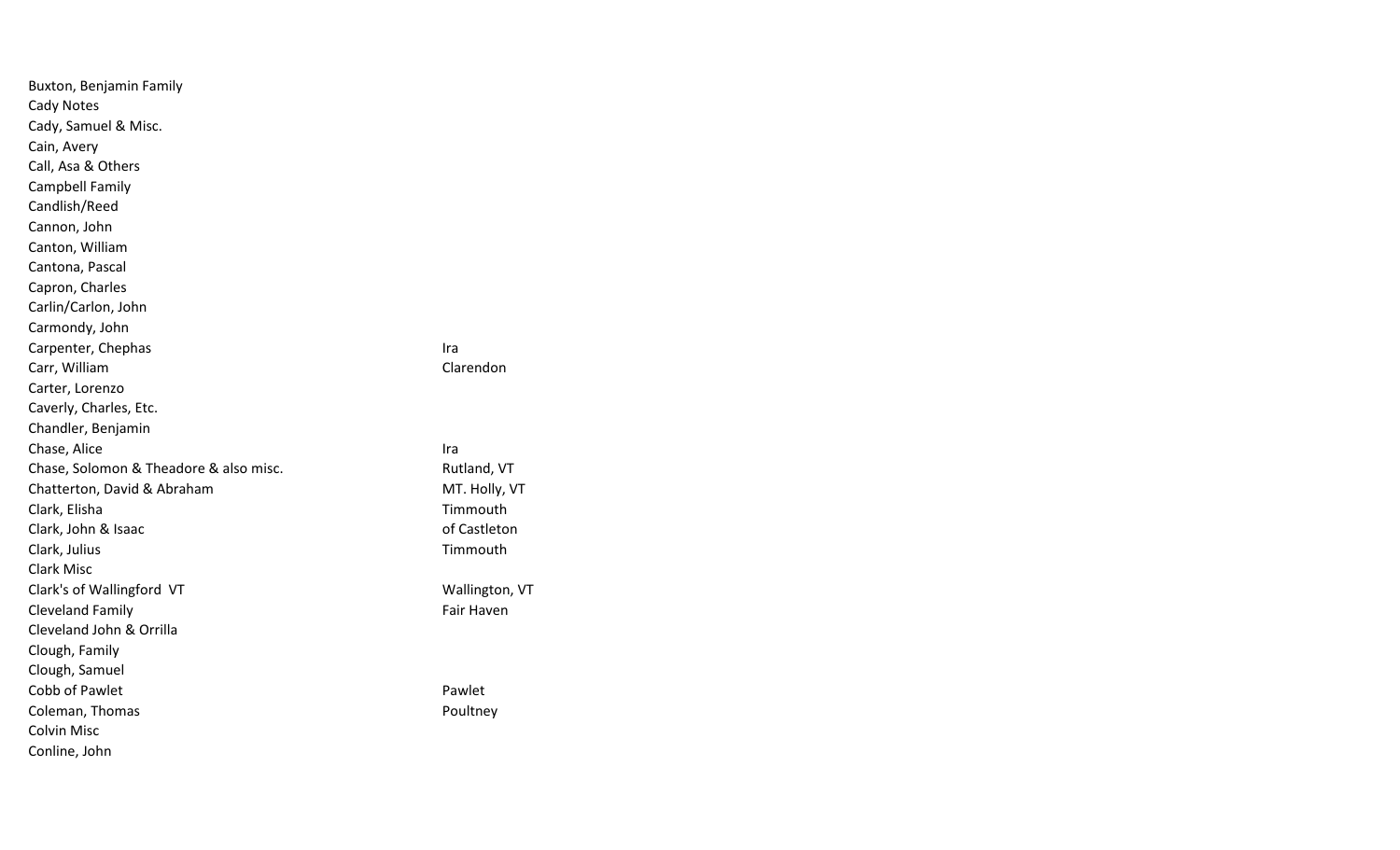| Buxton, Benjamin Family                |                   |
|----------------------------------------|-------------------|
| Cady Notes                             |                   |
| Cady, Samuel & Misc.                   |                   |
| Cain, Avery                            |                   |
| Call, Asa & Others                     |                   |
| Campbell Family                        |                   |
| Candlish/Reed                          |                   |
| Cannon, John                           |                   |
| Canton, William                        |                   |
| Cantona, Pascal                        |                   |
| Capron, Charles                        |                   |
| Carlin/Carlon, John                    |                   |
| Carmondy, John                         |                   |
| Carpenter, Chephas                     | Ira               |
| Carr, William                          | Clarendon         |
| Carter, Lorenzo                        |                   |
| Caverly, Charles, Etc.                 |                   |
| Chandler, Benjamin                     |                   |
| Chase, Alice                           | Ira               |
| Chase, Solomon & Theadore & also misc. | Rutland, VT       |
| Chatterton, David & Abraham            | MT. Holly, VT     |
| Clark, Elisha                          | Timmouth          |
| Clark, John & Isaac                    | of Castleton      |
| Clark, Julius                          | Timmouth          |
| <b>Clark Misc</b>                      |                   |
| Clark's of Wallingford VT              | Wallington, VT    |
| <b>Cleveland Family</b>                | <b>Fair Haven</b> |
| Cleveland John & Orrilla               |                   |
| Clough, Family                         |                   |
| Clough, Samuel                         |                   |
| Cobb of Pawlet                         | Pawlet            |
| Coleman, Thomas                        | Poultney          |
| Colvin Misc                            |                   |
| Conline, John                          |                   |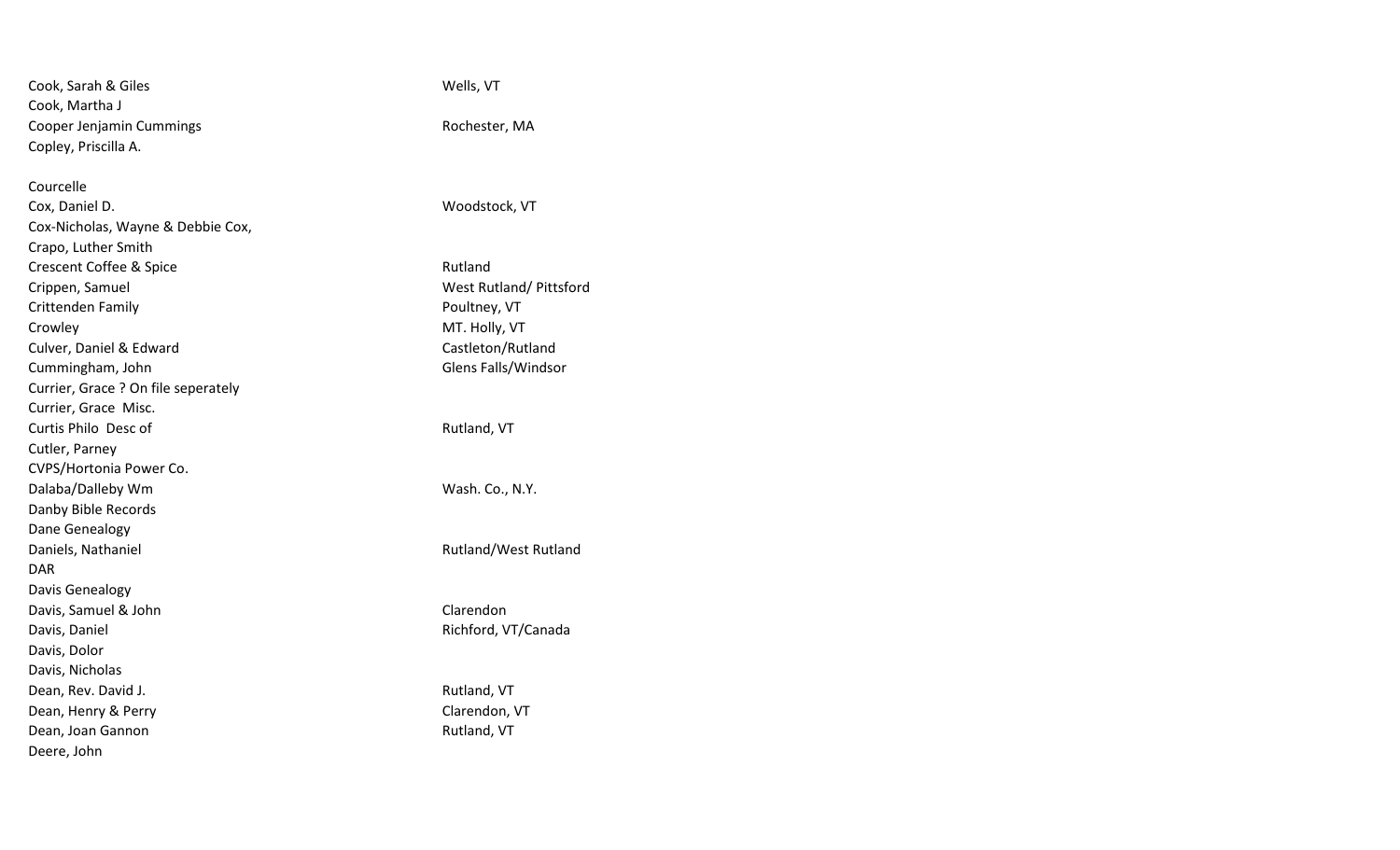| Cook, Sarah & Giles                 | Wells, VT               |
|-------------------------------------|-------------------------|
| Cook, Martha J                      |                         |
| Cooper Jenjamin Cummings            | Rochester, MA           |
| Copley, Priscilla A.                |                         |
|                                     |                         |
| Courcelle                           |                         |
| Cox, Daniel D.                      | Woodstock, VT           |
| Cox-Nicholas, Wayne & Debbie Cox,   |                         |
| Crapo, Luther Smith                 |                         |
| <b>Crescent Coffee &amp; Spice</b>  | Rutland                 |
| Crippen, Samuel                     | West Rutland/ Pittsford |
| Crittenden Family                   | Poultney, VT            |
| Crowley                             | MT. Holly, VT           |
| Culver, Daniel & Edward             | Castleton/Rutland       |
| Cummingham, John                    | Glens Falls/Windsor     |
| Currier, Grace ? On file seperately |                         |
| Currier, Grace Misc.                |                         |
| Curtis Philo Desc of                | Rutland, VT             |
| Cutler, Parney                      |                         |
| CVPS/Hortonia Power Co.             |                         |
| Dalaba/Dalleby Wm                   | Wash. Co., N.Y.         |
| Danby Bible Records                 |                         |
| Dane Genealogy                      |                         |
| Daniels, Nathaniel                  | Rutland/West Rutland    |
| <b>DAR</b>                          |                         |
| Davis Genealogy                     |                         |
| Davis, Samuel & John                | Clarendon               |
| Davis, Daniel                       | Richford, VT/Canada     |
| Davis, Dolor                        |                         |
| Davis, Nicholas                     |                         |
| Dean, Rev. David J.                 | Rutland, VT             |
| Dean, Henry & Perry                 | Clarendon, VT           |
| Dean, Joan Gannon                   | Rutland, VT             |
| Deere, John                         |                         |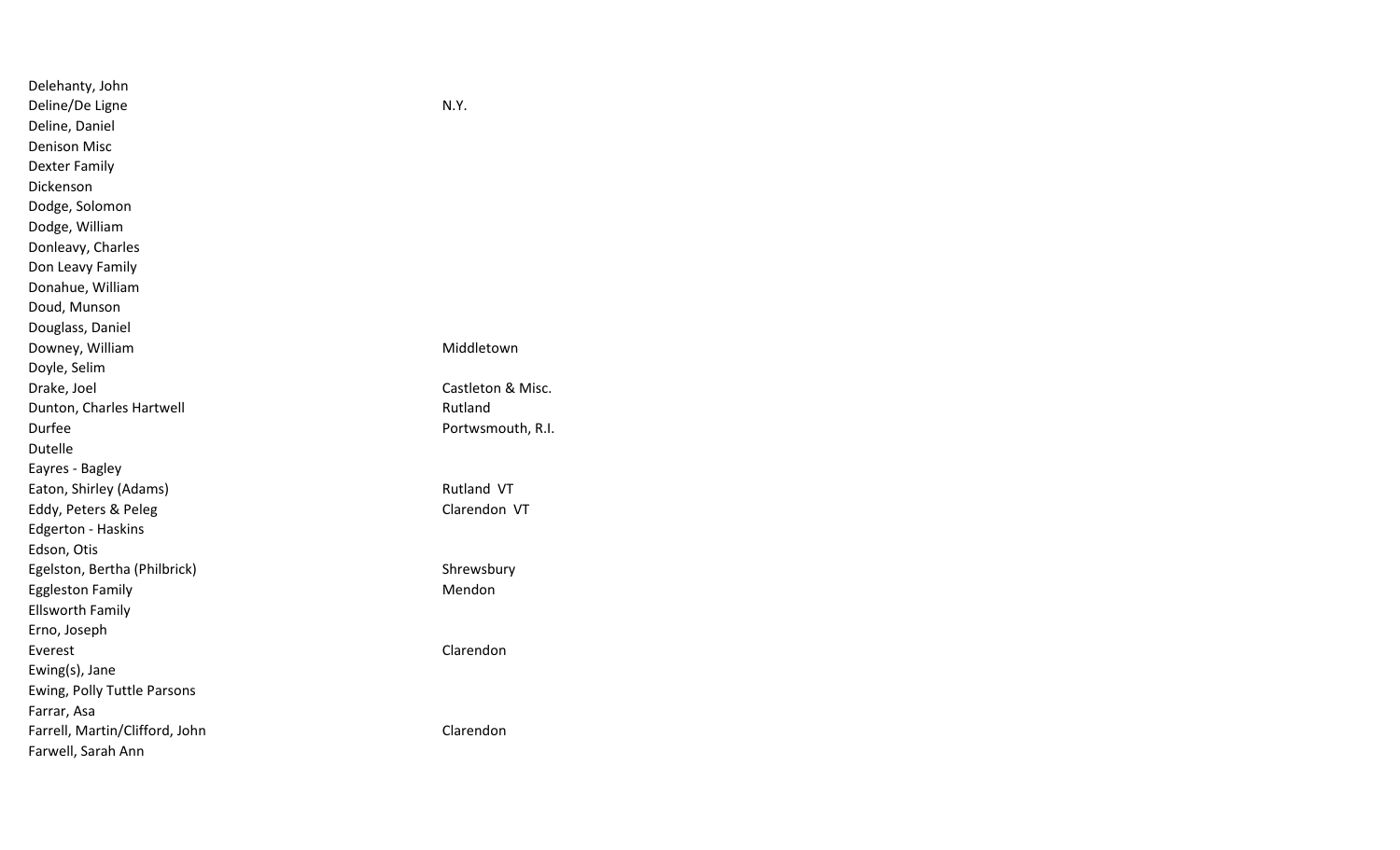| Delehanty, John                |                   |
|--------------------------------|-------------------|
| Deline/De Ligne                | N.Y.              |
| Deline, Daniel                 |                   |
| <b>Denison Misc</b>            |                   |
| Dexter Family                  |                   |
| Dickenson                      |                   |
| Dodge, Solomon                 |                   |
| Dodge, William                 |                   |
| Donleavy, Charles              |                   |
| Don Leavy Family               |                   |
| Donahue, William               |                   |
| Doud, Munson                   |                   |
| Douglass, Daniel               |                   |
| Downey, William                | Middletown        |
| Doyle, Selim                   |                   |
| Drake, Joel                    | Castleton & Misc. |
| Dunton, Charles Hartwell       | Rutland           |
| Durfee                         | Portwsmouth, R.I. |
| <b>Dutelle</b>                 |                   |
| Eayres - Bagley                |                   |
| Eaton, Shirley (Adams)         | <b>Rutland VT</b> |
| Eddy, Peters & Peleg           | Clarendon VT      |
| <b>Edgerton - Haskins</b>      |                   |
| Edson, Otis                    |                   |
| Egelston, Bertha (Philbrick)   | Shrewsbury        |
| <b>Eggleston Family</b>        | Mendon            |
| <b>Ellsworth Family</b>        |                   |
| Erno, Joseph                   |                   |
| Everest                        | Clarendon         |
| Ewing(s), Jane                 |                   |
| Ewing, Polly Tuttle Parsons    |                   |
| Farrar, Asa                    |                   |
| Farrell, Martin/Clifford, John | Clarendon         |
| Farwell, Sarah Ann             |                   |
|                                |                   |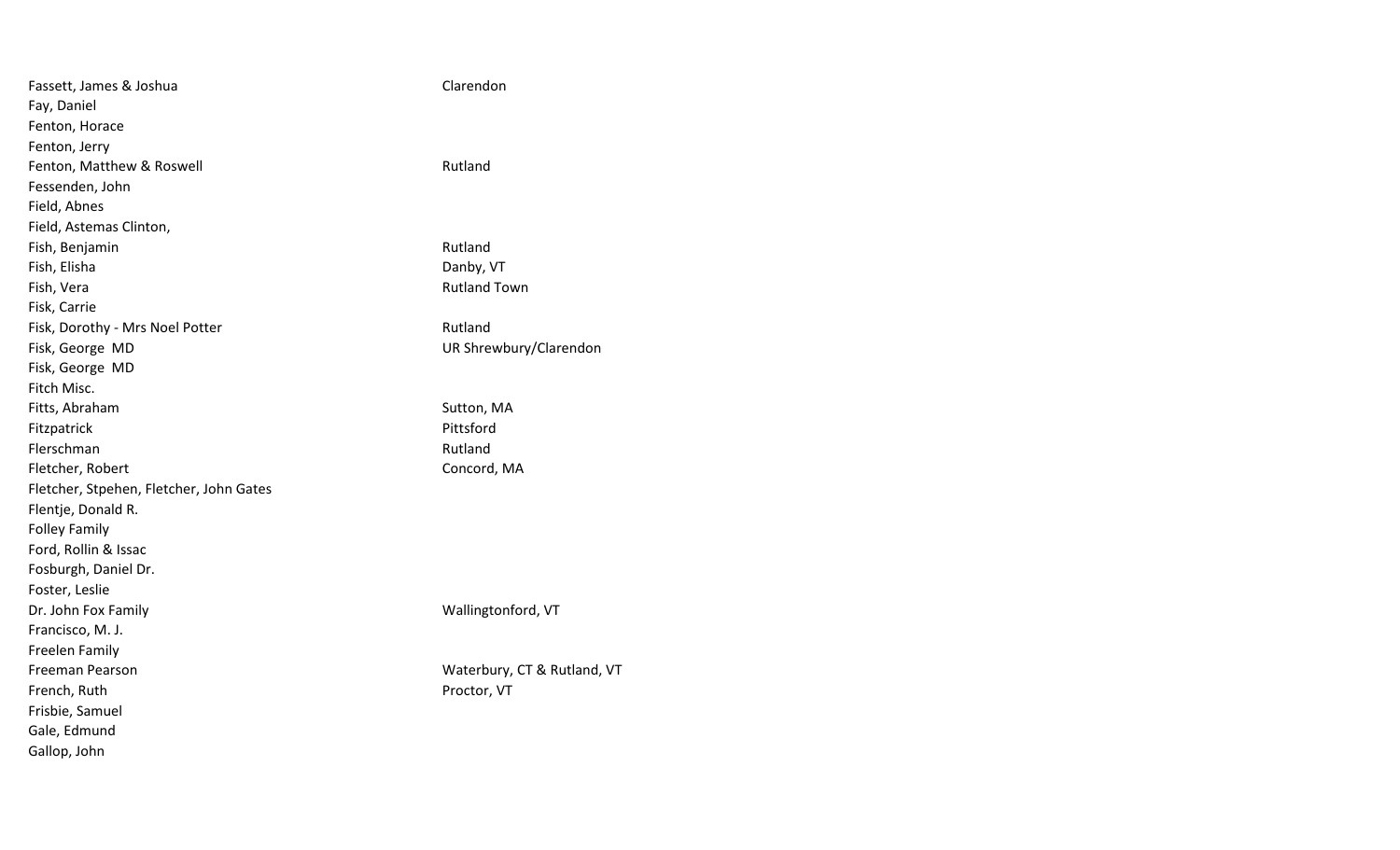| Fassett, James & Joshua                 | Clarendon                   |
|-----------------------------------------|-----------------------------|
| Fay, Daniel                             |                             |
| Fenton, Horace                          |                             |
| Fenton, Jerry                           |                             |
| Fenton, Matthew & Roswell               | Rutland                     |
| Fessenden, John                         |                             |
| Field, Abnes                            |                             |
| Field, Astemas Clinton,                 |                             |
| Fish, Benjamin                          | Rutland                     |
| Fish, Elisha                            | Danby, VT                   |
| Fish, Vera                              | <b>Rutland Town</b>         |
| Fisk, Carrie                            |                             |
| Fisk, Dorothy - Mrs Noel Potter         | Rutland                     |
| Fisk, George MD                         | UR Shrewbury/Clarendon      |
| Fisk, George MD                         |                             |
| Fitch Misc.                             |                             |
| Fitts, Abraham                          | Sutton, MA                  |
| Fitzpatrick                             | Pittsford                   |
| Flerschman                              | Rutland                     |
| Fletcher, Robert                        | Concord, MA                 |
| Fletcher, Stpehen, Fletcher, John Gates |                             |
| Flentje, Donald R.                      |                             |
| <b>Folley Family</b>                    |                             |
| Ford, Rollin & Issac                    |                             |
| Fosburgh, Daniel Dr.                    |                             |
| Foster, Leslie                          |                             |
| Dr. John Fox Family                     | Wallingtonford, VT          |
| Francisco, M. J.                        |                             |
| Freelen Family                          |                             |
| Freeman Pearson                         | Waterbury, CT & Rutland, VT |
| French, Ruth                            | Proctor, VT                 |
| Frisbie, Samuel                         |                             |
| Gale, Edmund                            |                             |
| Gallop, John                            |                             |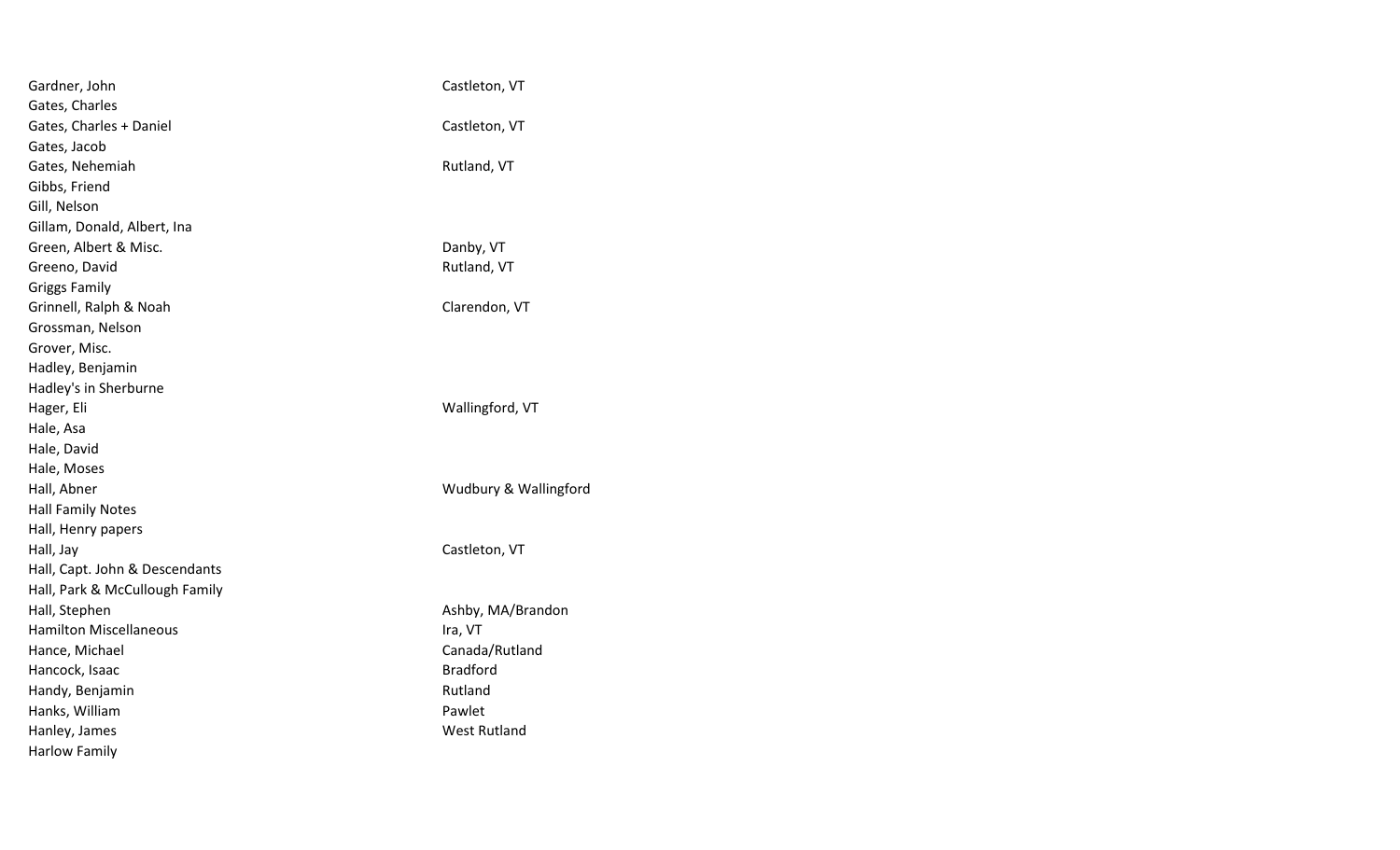| Gardner, John                  | Castleton, VT         |
|--------------------------------|-----------------------|
| Gates, Charles                 |                       |
| Gates, Charles + Daniel        | Castleton, VT         |
| Gates, Jacob                   |                       |
| Gates, Nehemiah                | Rutland, VT           |
| Gibbs, Friend                  |                       |
| Gill, Nelson                   |                       |
| Gillam, Donald, Albert, Ina    |                       |
| Green, Albert & Misc.          | Danby, VT             |
| Greeno, David                  | Rutland, VT           |
| <b>Griggs Family</b>           |                       |
| Grinnell, Ralph & Noah         | Clarendon, VT         |
| Grossman, Nelson               |                       |
| Grover, Misc.                  |                       |
| Hadley, Benjamin               |                       |
| Hadley's in Sherburne          |                       |
| Hager, Eli                     | Wallingford, VT       |
| Hale, Asa                      |                       |
| Hale, David                    |                       |
| Hale, Moses                    |                       |
| Hall, Abner                    | Wudbury & Wallingford |
| <b>Hall Family Notes</b>       |                       |
| Hall, Henry papers             |                       |
| Hall, Jay                      | Castleton, VT         |
| Hall, Capt. John & Descendants |                       |
| Hall, Park & McCullough Family |                       |
| Hall, Stephen                  | Ashby, MA/Brandon     |
| <b>Hamilton Miscellaneous</b>  | Ira, VT               |
| Hance, Michael                 | Canada/Rutland        |
| Hancock, Isaac                 | <b>Bradford</b>       |
| Handy, Benjamin                | Rutland               |
| Hanks, William                 | Pawlet                |
| Hanley, James                  | <b>West Rutland</b>   |
| <b>Harlow Family</b>           |                       |
|                                |                       |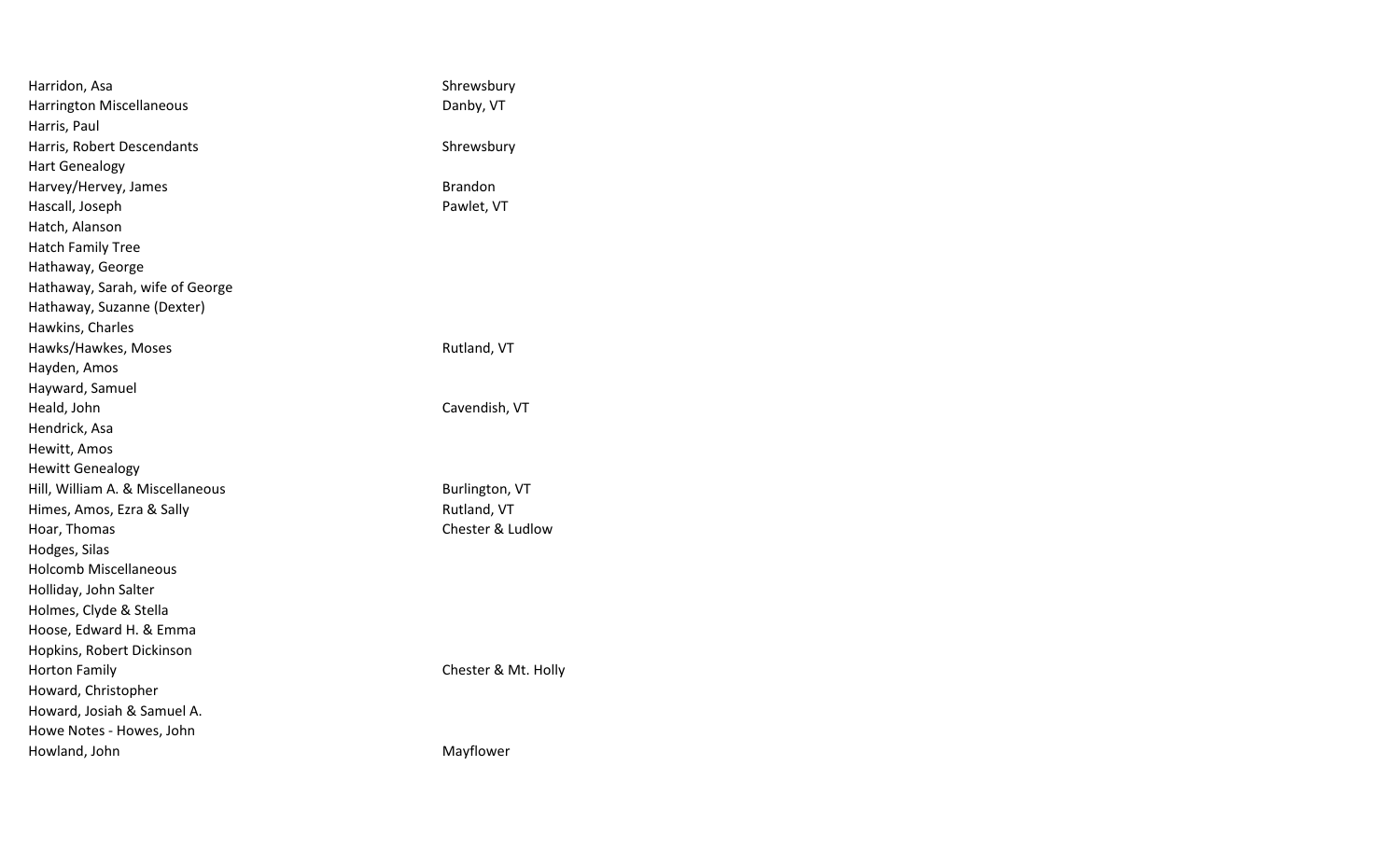| Harridon, Asa                    | Shrewsbury          |
|----------------------------------|---------------------|
| <b>Harrington Miscellaneous</b>  | Danby, VT           |
| Harris, Paul                     |                     |
| Harris, Robert Descendants       | Shrewsbury          |
| <b>Hart Genealogy</b>            |                     |
| Harvey/Hervey, James             | <b>Brandon</b>      |
| Hascall, Joseph                  | Pawlet, VT          |
| Hatch, Alanson                   |                     |
| <b>Hatch Family Tree</b>         |                     |
| Hathaway, George                 |                     |
| Hathaway, Sarah, wife of George  |                     |
| Hathaway, Suzanne (Dexter)       |                     |
| Hawkins, Charles                 |                     |
| Hawks/Hawkes, Moses              | Rutland, VT         |
| Hayden, Amos                     |                     |
| Hayward, Samuel                  |                     |
| Heald, John                      | Cavendish, VT       |
| Hendrick, Asa                    |                     |
| Hewitt, Amos                     |                     |
| <b>Hewitt Genealogy</b>          |                     |
| Hill, William A. & Miscellaneous | Burlington, VT      |
| Himes, Amos, Ezra & Sally        | Rutland, VT         |
| Hoar, Thomas                     | Chester & Ludlow    |
| Hodges, Silas                    |                     |
| <b>Holcomb Miscellaneous</b>     |                     |
| Holliday, John Salter            |                     |
| Holmes, Clyde & Stella           |                     |
| Hoose, Edward H. & Emma          |                     |
| Hopkins, Robert Dickinson        |                     |
| <b>Horton Family</b>             | Chester & Mt. Holly |
| Howard, Christopher              |                     |
| Howard, Josiah & Samuel A.       |                     |
| Howe Notes - Howes, John         |                     |
| Howland, John                    | Mayflower           |
|                                  |                     |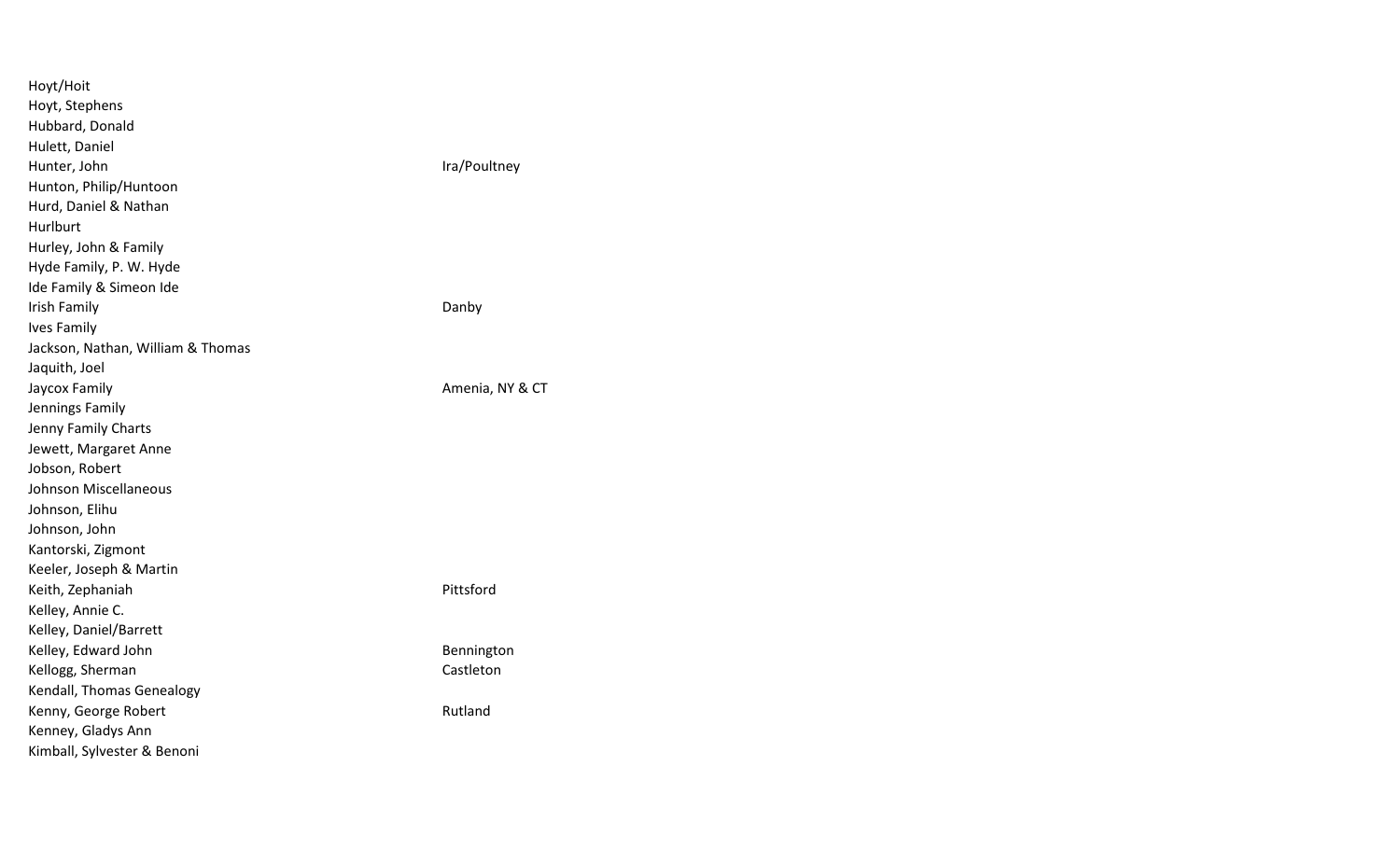| Hoyt/Hoit                         |                 |
|-----------------------------------|-----------------|
| Hoyt, Stephens                    |                 |
| Hubbard, Donald                   |                 |
| Hulett, Daniel                    |                 |
| Hunter, John                      | Ira/Poultney    |
| Hunton, Philip/Huntoon            |                 |
| Hurd, Daniel & Nathan             |                 |
| Hurlburt                          |                 |
| Hurley, John & Family             |                 |
| Hyde Family, P. W. Hyde           |                 |
| Ide Family & Simeon Ide           |                 |
| Irish Family                      | Danby           |
| <b>Ives Family</b>                |                 |
| Jackson, Nathan, William & Thomas |                 |
| Jaquith, Joel                     |                 |
| Jaycox Family                     | Amenia, NY & CT |
| Jennings Family                   |                 |
| Jenny Family Charts               |                 |
| Jewett, Margaret Anne             |                 |
| Jobson, Robert                    |                 |
| <b>Johnson Miscellaneous</b>      |                 |
| Johnson, Elihu                    |                 |
| Johnson, John                     |                 |
| Kantorski, Zigmont                |                 |
| Keeler, Joseph & Martin           |                 |
| Keith, Zephaniah                  | Pittsford       |
| Kelley, Annie C.                  |                 |
| Kelley, Daniel/Barrett            |                 |
| Kelley, Edward John               | Bennington      |
| Kellogg, Sherman                  | Castleton       |
| Kendall, Thomas Genealogy         |                 |
| Kenny, George Robert              | Rutland         |
| Kenney, Gladys Ann                |                 |
| Kimball, Sylvester & Benoni       |                 |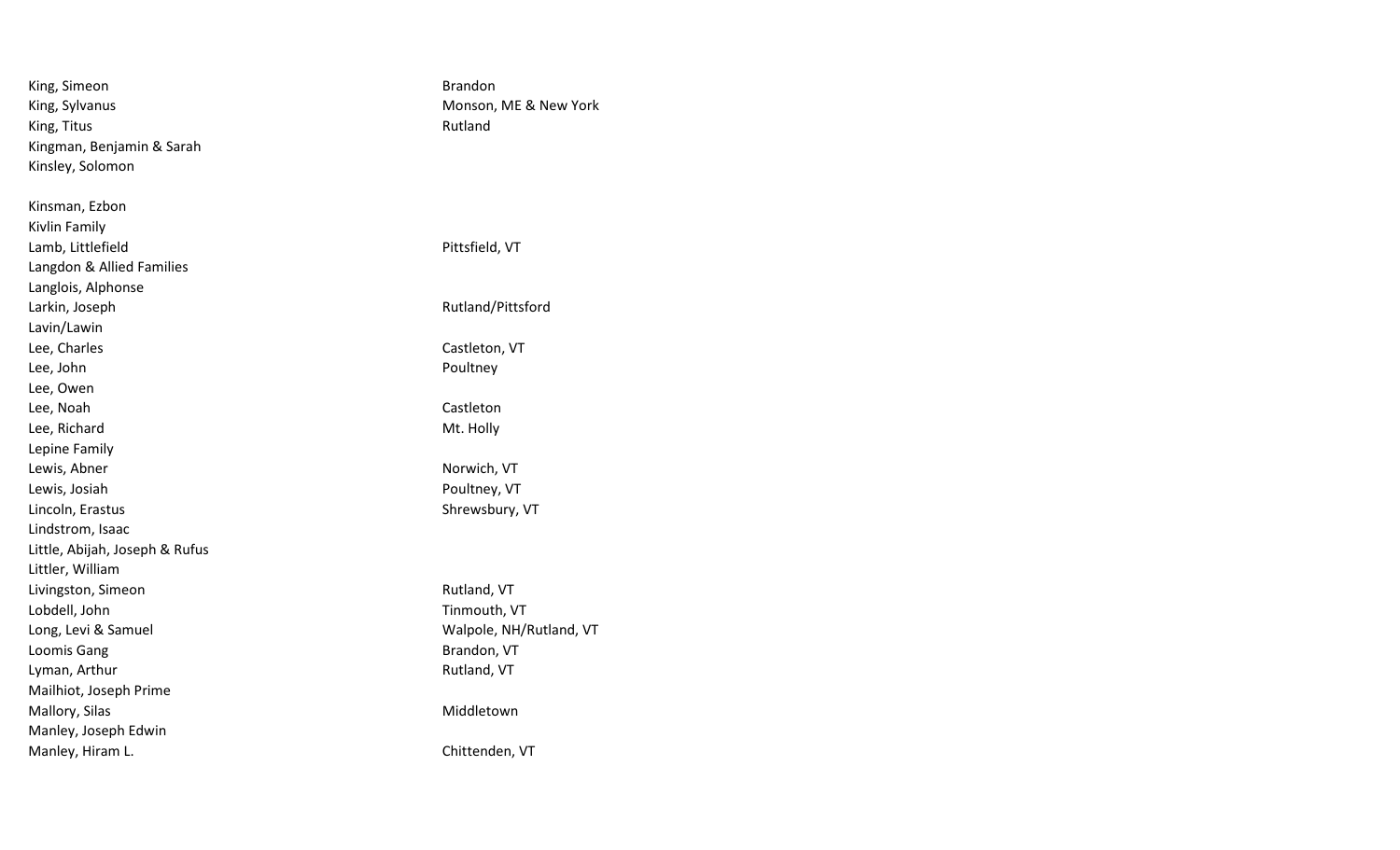| King, Simeon                   | <b>Brandon</b>          |
|--------------------------------|-------------------------|
| King, Sylvanus                 | Monson, ME & New York   |
| King, Titus                    | Rutland                 |
| Kingman, Benjamin & Sarah      |                         |
| Kinsley, Solomon               |                         |
| Kinsman, Ezbon                 |                         |
| Kivlin Family                  |                         |
| Lamb, Littlefield              | Pittsfield, VT          |
| Langdon & Allied Families      |                         |
| Langlois, Alphonse             |                         |
| Larkin, Joseph                 | Rutland/Pittsford       |
| Lavin/Lawin                    |                         |
| Lee, Charles                   | Castleton, VT           |
| Lee, John                      | Poultney                |
| Lee, Owen                      |                         |
| Lee, Noah                      | Castleton               |
| Lee, Richard                   | Mt. Holly               |
| Lepine Family                  |                         |
| Lewis, Abner                   | Norwich, VT             |
| Lewis, Josiah                  | Poultney, VT            |
| Lincoln, Erastus               | Shrewsbury, VT          |
| Lindstrom, Isaac               |                         |
| Little, Abijah, Joseph & Rufus |                         |
| Littler, William               |                         |
| Livingston, Simeon             | Rutland, VT             |
| Lobdell, John                  | Tinmouth, VT            |
| Long, Levi & Samuel            | Walpole, NH/Rutland, VT |
| Loomis Gang                    | Brandon, VT             |
| Lyman, Arthur                  | Rutland, VT             |
| Mailhiot, Joseph Prime         |                         |
| Mallory, Silas                 | Middletown              |
| Manley, Joseph Edwin           |                         |
| Manley, Hiram L.               | Chittenden, VT          |
|                                |                         |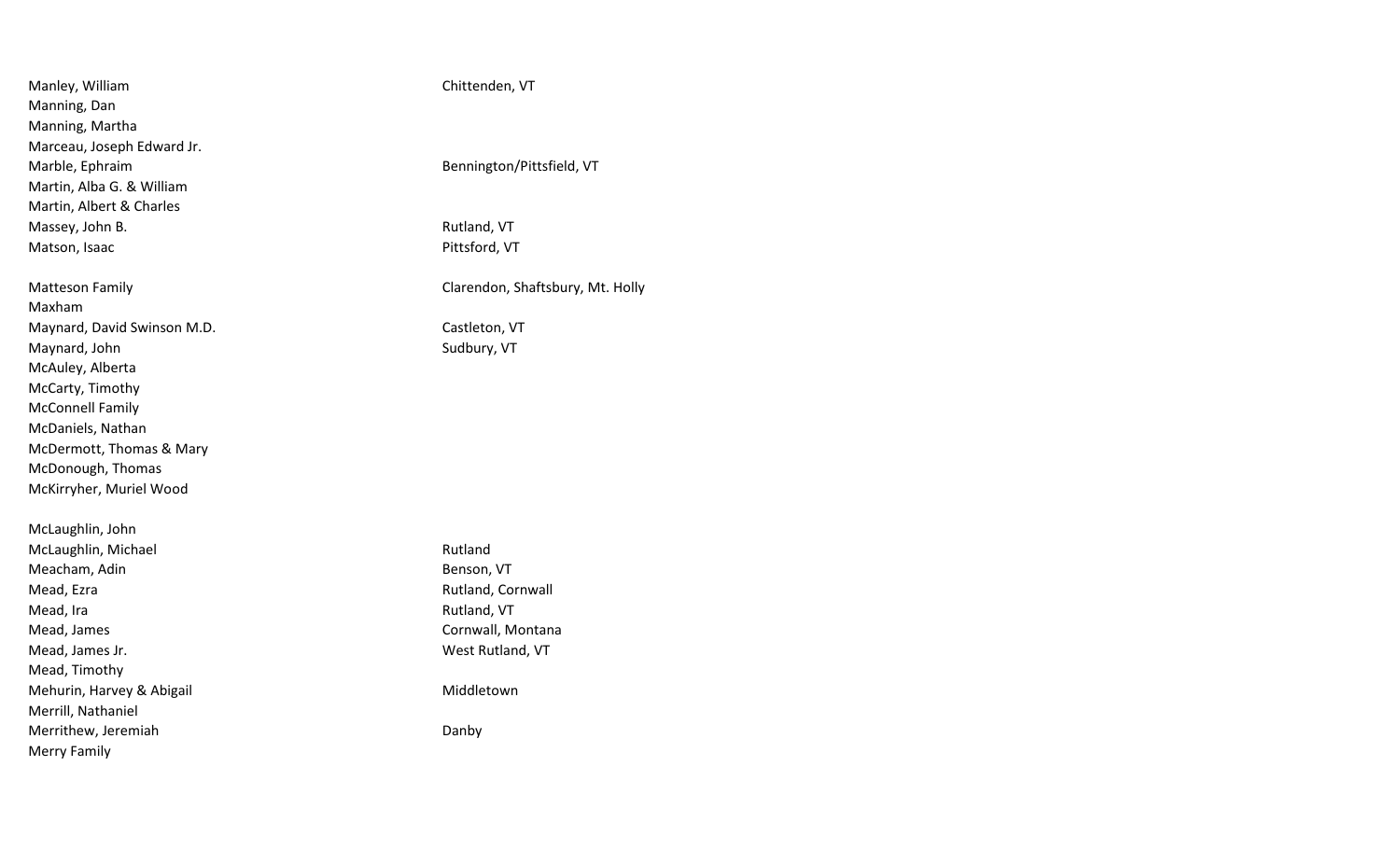| Manley, William             | Chittenden, VT                   |
|-----------------------------|----------------------------------|
| Manning, Dan                |                                  |
| Manning, Martha             |                                  |
| Marceau, Joseph Edward Jr.  |                                  |
| Marble, Ephraim             | Bennington/Pittsfield, VT        |
| Martin, Alba G. & William   |                                  |
| Martin, Albert & Charles    |                                  |
| Massey, John B.             | Rutland, VT                      |
| Matson, Isaac               | Pittsford, VT                    |
| <b>Matteson Family</b>      | Clarendon, Shaftsbury, Mt. Holly |
| Maxham                      |                                  |
| Maynard, David Swinson M.D. | Castleton, VT                    |
| Maynard, John               | Sudbury, VT                      |
| McAuley, Alberta            |                                  |
| McCarty, Timothy            |                                  |
| <b>McConnell Family</b>     |                                  |
| McDaniels, Nathan           |                                  |
| McDermott, Thomas & Mary    |                                  |
| McDonough, Thomas           |                                  |
| McKirryher, Muriel Wood     |                                  |
| McLaughlin, John            |                                  |
| McLaughlin, Michael         | Rutland                          |
| Meacham, Adin               | Benson, VT                       |
| Mead, Ezra                  | Rutland, Cornwall                |
| Mead, Ira                   | Rutland, VT                      |
| Mead, James                 | Cornwall, Montana                |
| Mead, James Jr.             | West Rutland, VT                 |
| Mead, Timothy               |                                  |
| Mehurin, Harvey & Abigail   | Middletown                       |
| Merrill, Nathaniel          |                                  |
| Merrithew, Jeremiah         | Danby                            |
| Merry Family                |                                  |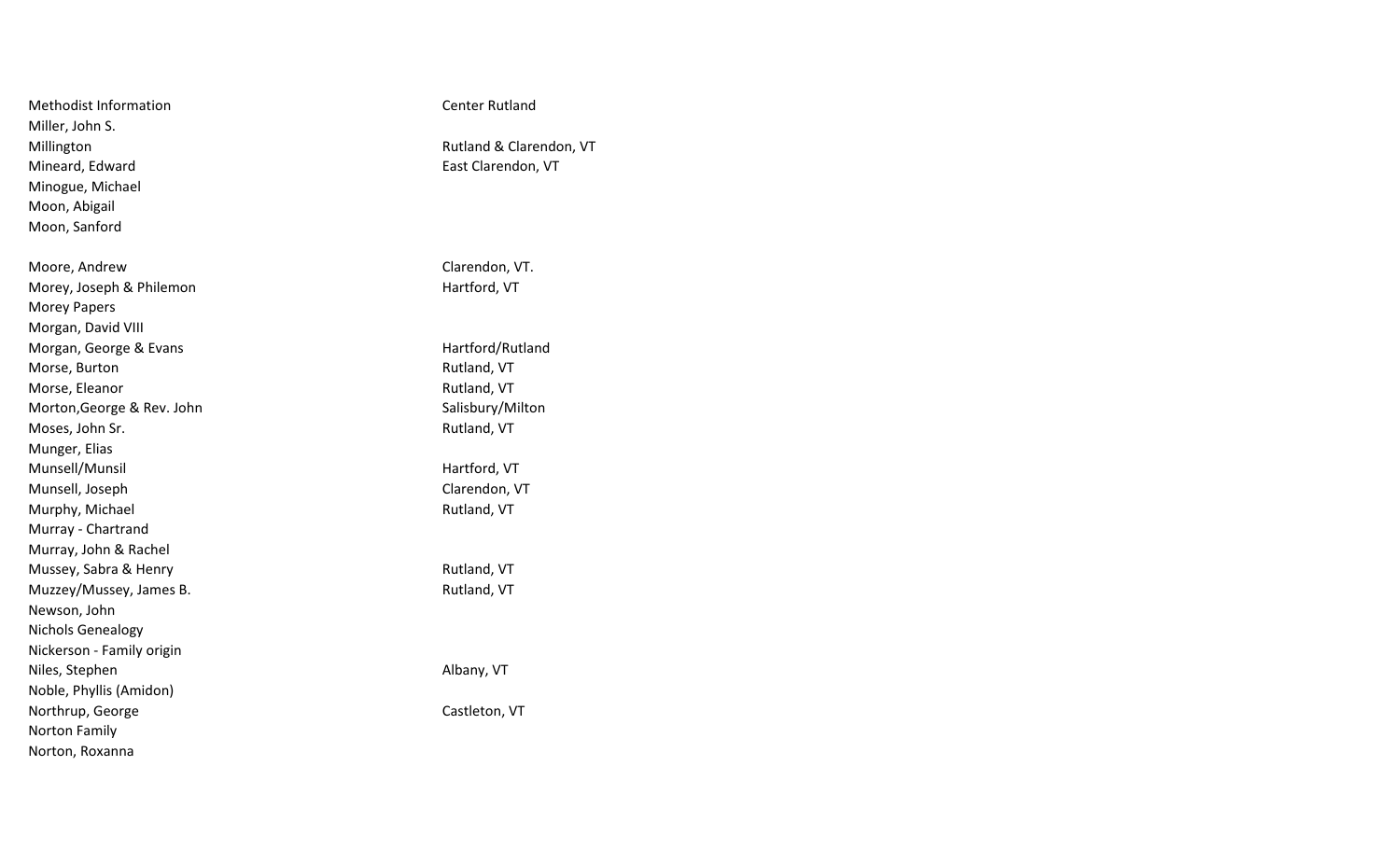| <b>Methodist Information</b> | <b>Center Rutland</b>   |
|------------------------------|-------------------------|
| Miller, John S.              |                         |
| Millington                   | Rutland & Clarendon, VT |
| Mineard, Edward              | East Clarendon, VT      |
| Minogue, Michael             |                         |
| Moon, Abigail                |                         |
| Moon, Sanford                |                         |
|                              |                         |
| Moore, Andrew                | Clarendon, VT.          |
| Morey, Joseph & Philemon     | Hartford, VT            |
| Morey Papers                 |                         |
| Morgan, David VIII           |                         |
| Morgan, George & Evans       | Hartford/Rutland        |
| Morse, Burton                | Rutland, VT             |
| Morse, Eleanor               | Rutland, VT             |
| Morton, George & Rev. John   | Salisbury/Milton        |
| Moses, John Sr.              | Rutland, VT             |
| Munger, Elias                |                         |
| Munsell/Munsil               | Hartford, VT            |
| Munsell, Joseph              | Clarendon, VT           |
| Murphy, Michael              | Rutland, VT             |
| Murray - Chartrand           |                         |
| Murray, John & Rachel        |                         |
| Mussey, Sabra & Henry        | Rutland, VT             |
| Muzzey/Mussey, James B.      | Rutland, VT             |
| Newson, John                 |                         |
| <b>Nichols Genealogy</b>     |                         |
| Nickerson - Family origin    |                         |
| Niles, Stephen               | Albany, VT              |
| Noble, Phyllis (Amidon)      |                         |
| Northrup, George             | Castleton, VT           |
| Norton Family                |                         |
| Norton, Roxanna              |                         |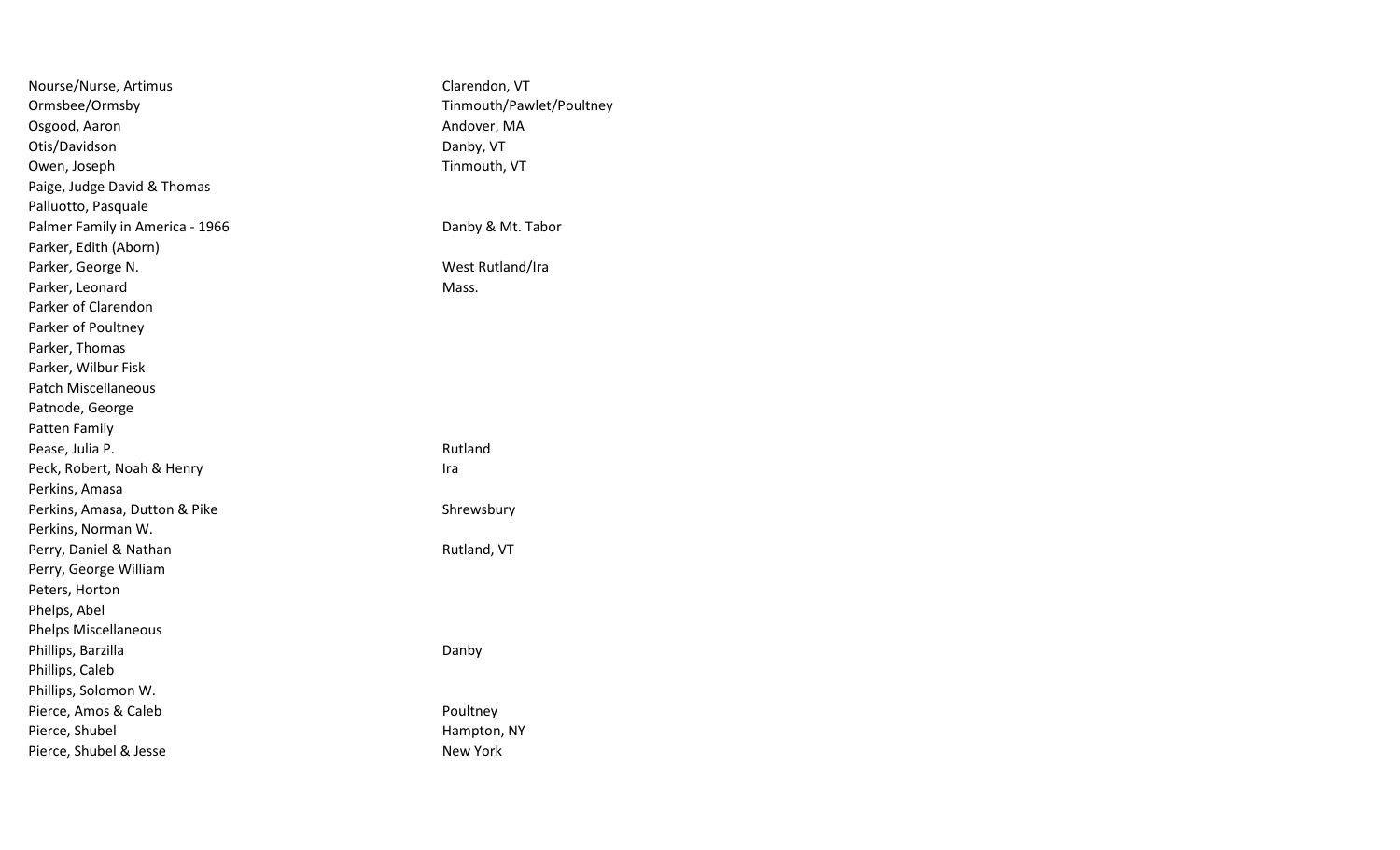| Nourse/Nurse, Artimus           | Clarendon, VT            |
|---------------------------------|--------------------------|
| Ormsbee/Ormsby                  | Tinmouth/Pawlet/Poultney |
| Osgood, Aaron                   | Andover, MA              |
| Otis/Davidson                   | Danby, VT                |
| Owen, Joseph                    | Tinmouth, VT             |
| Paige, Judge David & Thomas     |                          |
| Palluotto, Pasquale             |                          |
| Palmer Family in America - 1966 | Danby & Mt. Tabor        |
| Parker, Edith (Aborn)           |                          |
| Parker, George N.               | West Rutland/Ira         |
| Parker, Leonard                 | Mass.                    |
| Parker of Clarendon             |                          |
| Parker of Poultney              |                          |
| Parker, Thomas                  |                          |
| Parker, Wilbur Fisk             |                          |
| <b>Patch Miscellaneous</b>      |                          |
| Patnode, George                 |                          |
| Patten Family                   |                          |
| Pease, Julia P.                 | Rutland                  |
| Peck, Robert, Noah & Henry      | Ira                      |
| Perkins, Amasa                  |                          |
| Perkins, Amasa, Dutton & Pike   | Shrewsbury               |
| Perkins, Norman W.              |                          |
| Perry, Daniel & Nathan          | Rutland, VT              |
| Perry, George William           |                          |
| Peters, Horton                  |                          |
| Phelps, Abel                    |                          |
| Phelps Miscellaneous            |                          |
| Phillips, Barzilla              | Danby                    |
| Phillips, Caleb                 |                          |
| Phillips, Solomon W.            |                          |
| Pierce, Amos & Caleb            | Poultney                 |
| Pierce, Shubel                  | Hampton, NY              |
| Pierce, Shubel & Jesse          | <b>New York</b>          |
|                                 |                          |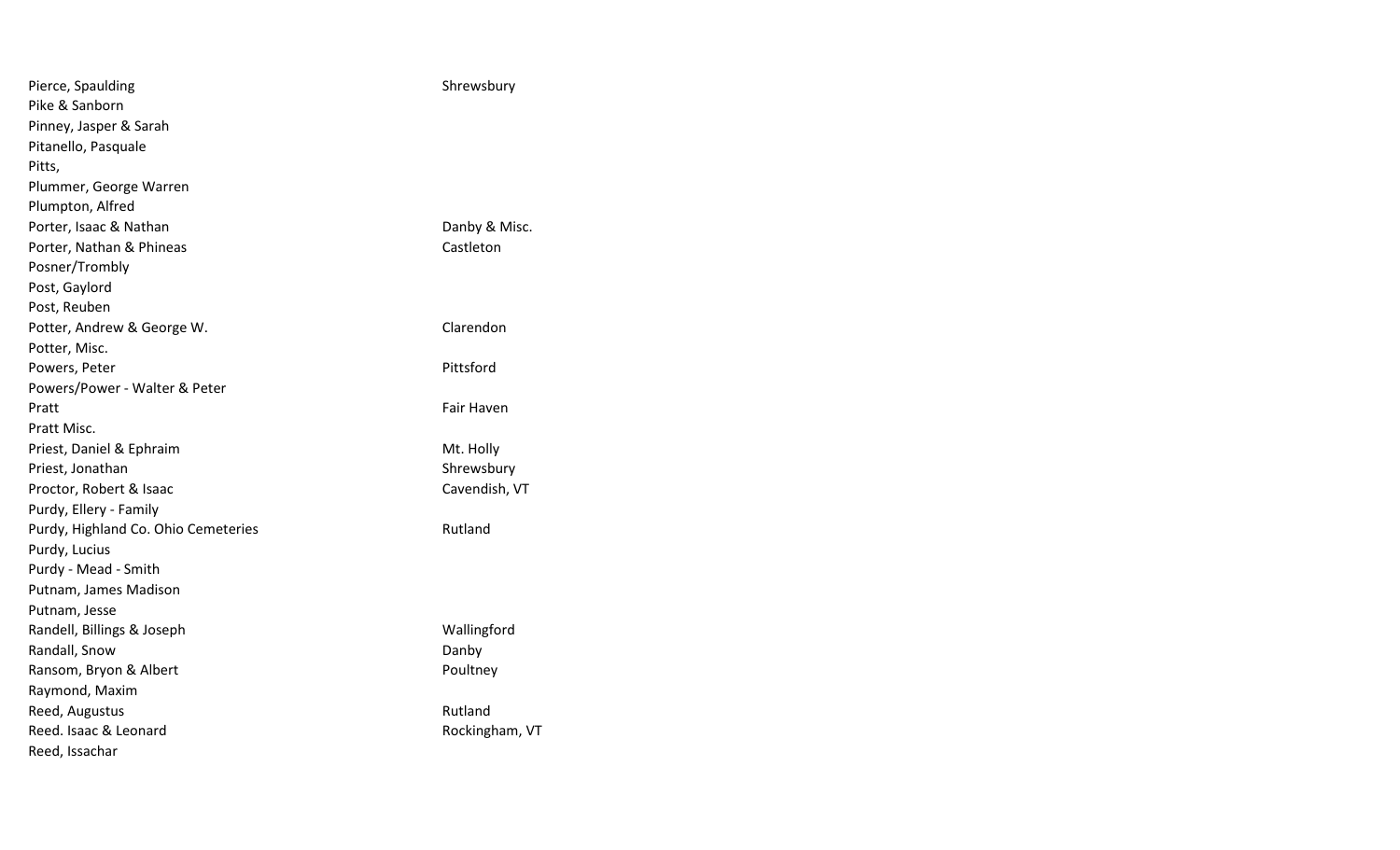| Pierce, Spaulding                   | Shrewsbury     |
|-------------------------------------|----------------|
| Pike & Sanborn                      |                |
| Pinney, Jasper & Sarah              |                |
| Pitanello, Pasquale                 |                |
| Pitts,                              |                |
| Plummer, George Warren              |                |
| Plumpton, Alfred                    |                |
| Porter, Isaac & Nathan              | Danby & Misc.  |
| Porter, Nathan & Phineas            | Castleton      |
| Posner/Trombly                      |                |
| Post, Gaylord                       |                |
| Post, Reuben                        |                |
| Potter, Andrew & George W.          | Clarendon      |
| Potter, Misc.                       |                |
| Powers, Peter                       | Pittsford      |
| Powers/Power - Walter & Peter       |                |
| Pratt                               | Fair Haven     |
| Pratt Misc.                         |                |
| Priest, Daniel & Ephraim            | Mt. Holly      |
| Priest, Jonathan                    | Shrewsbury     |
| Proctor, Robert & Isaac             | Cavendish, VT  |
| Purdy, Ellery - Family              |                |
| Purdy, Highland Co. Ohio Cemeteries | Rutland        |
| Purdy, Lucius                       |                |
| Purdy - Mead - Smith                |                |
| Putnam, James Madison               |                |
| Putnam, Jesse                       |                |
| Randell, Billings & Joseph          | Wallingford    |
| Randall, Snow                       | Danby          |
| Ransom, Bryon & Albert              | Poultney       |
| Raymond, Maxim                      |                |
| Reed, Augustus                      | Rutland        |
| Reed. Isaac & Leonard               | Rockingham, VT |
| Reed, Issachar                      |                |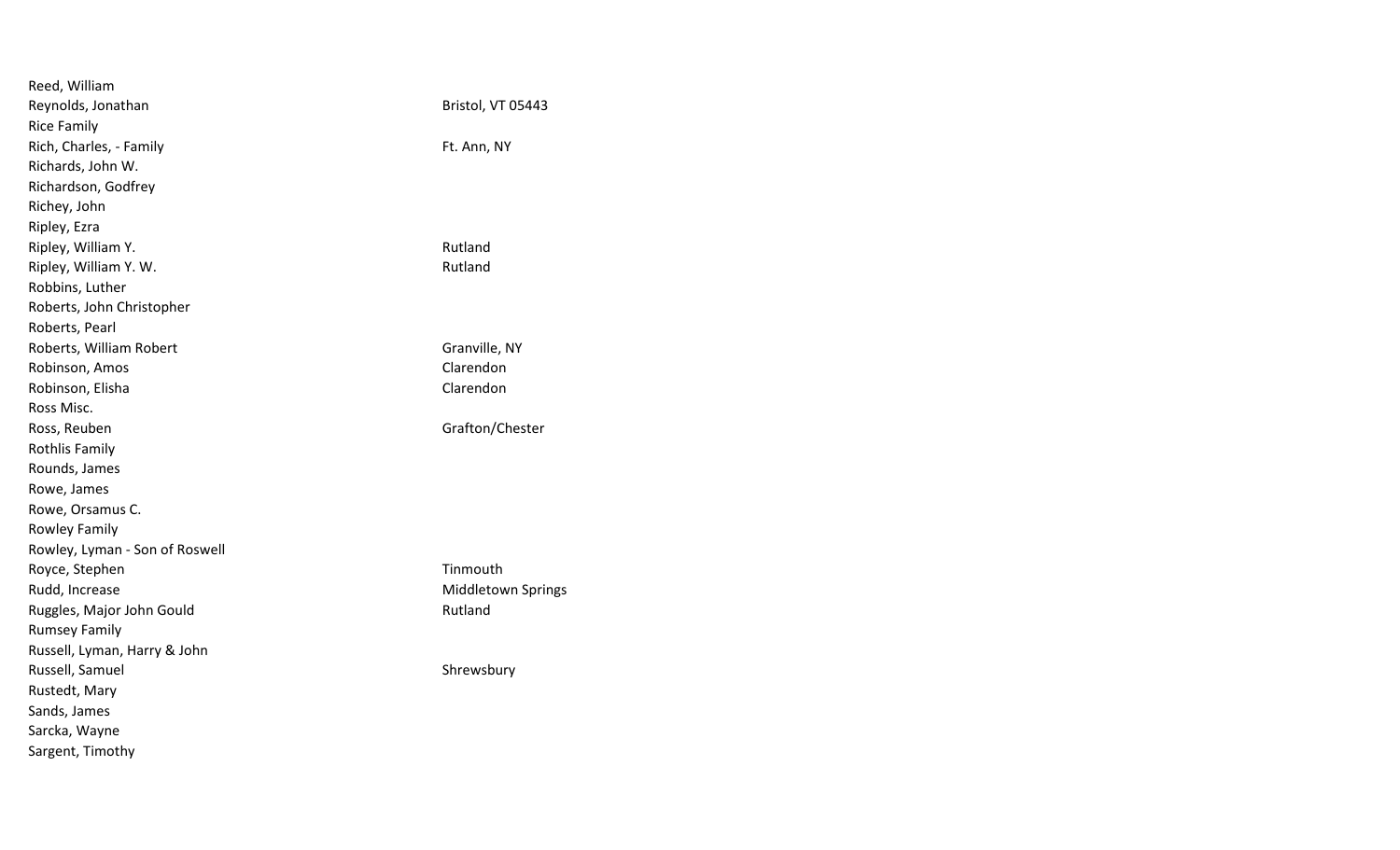| Bristol, VT 05443  |
|--------------------|
|                    |
| Ft. Ann, NY        |
|                    |
|                    |
|                    |
|                    |
| Rutland            |
| Rutland            |
|                    |
|                    |
|                    |
| Granville, NY      |
| Clarendon          |
| Clarendon          |
|                    |
| Grafton/Chester    |
|                    |
|                    |
|                    |
|                    |
|                    |
|                    |
| Tinmouth           |
| Middletown Springs |
| Rutland            |
|                    |
|                    |
| Shrewsbury         |
|                    |
|                    |
|                    |
|                    |
|                    |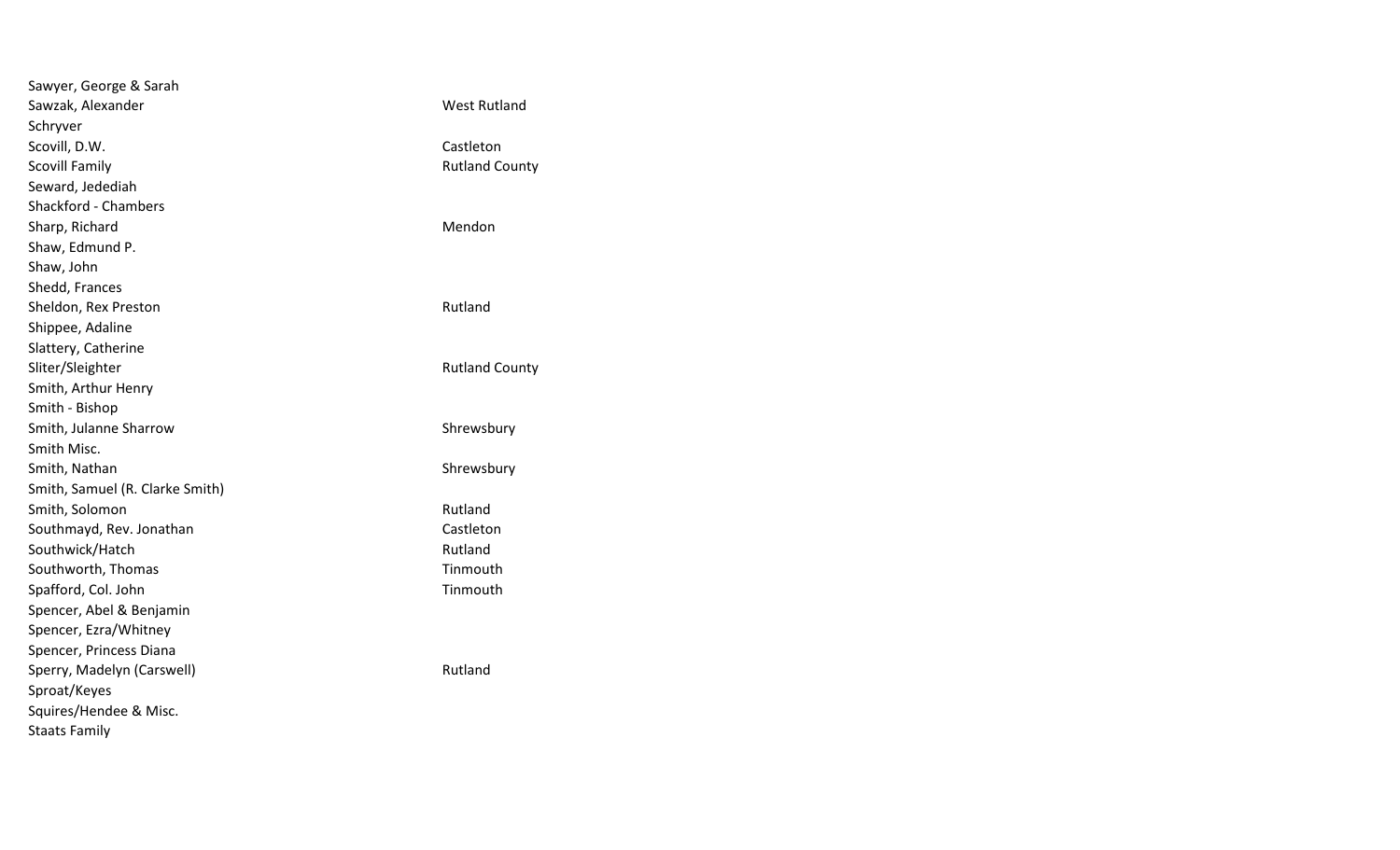| Sawyer, George & Sarah          |                       |
|---------------------------------|-----------------------|
| Sawzak, Alexander               | <b>West Rutland</b>   |
| Schryver                        |                       |
| Scovill, D.W.                   | Castleton             |
| <b>Scovill Family</b>           | <b>Rutland County</b> |
| Seward, Jedediah                |                       |
| <b>Shackford - Chambers</b>     |                       |
| Sharp, Richard                  | Mendon                |
| Shaw, Edmund P.                 |                       |
| Shaw, John                      |                       |
| Shedd, Frances                  |                       |
| Sheldon, Rex Preston            | Rutland               |
| Shippee, Adaline                |                       |
| Slattery, Catherine             |                       |
| Sliter/Sleighter                | <b>Rutland County</b> |
| Smith, Arthur Henry             |                       |
| Smith - Bishop                  |                       |
| Smith, Julanne Sharrow          | Shrewsbury            |
| Smith Misc.                     |                       |
| Smith, Nathan                   | Shrewsbury            |
| Smith, Samuel (R. Clarke Smith) |                       |
| Smith, Solomon                  | Rutland               |
| Southmayd, Rev. Jonathan        | Castleton             |
| Southwick/Hatch                 | Rutland               |
| Southworth, Thomas              | Tinmouth              |
| Spafford, Col. John             | Tinmouth              |
| Spencer, Abel & Benjamin        |                       |
| Spencer, Ezra/Whitney           |                       |
| Spencer, Princess Diana         |                       |
| Sperry, Madelyn (Carswell)      | Rutland               |
| Sproat/Keyes                    |                       |
| Squires/Hendee & Misc.          |                       |
| <b>Staats Family</b>            |                       |
|                                 |                       |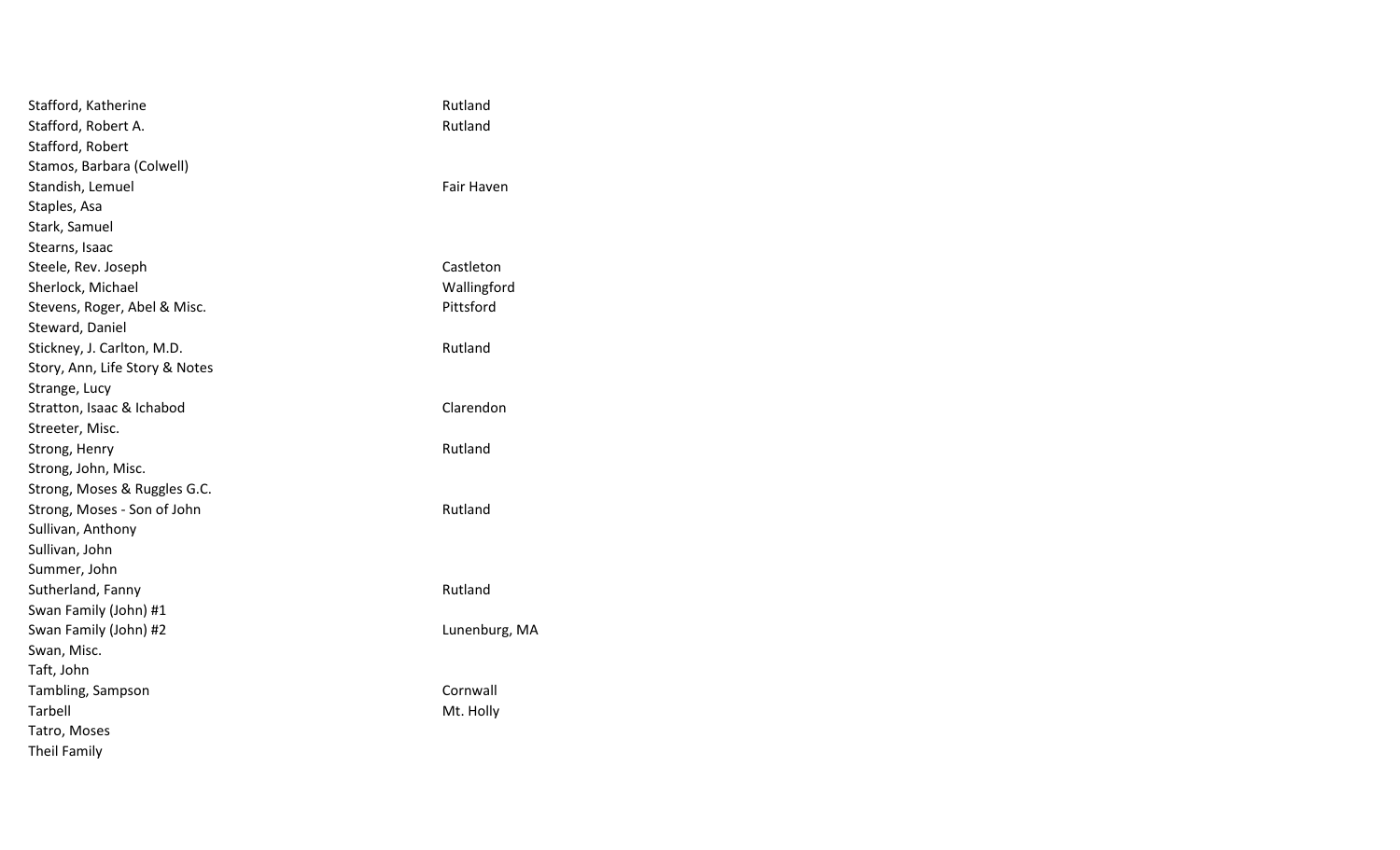| Stafford, Katherine            | Rutland       |
|--------------------------------|---------------|
| Stafford, Robert A.            | Rutland       |
| Stafford, Robert               |               |
| Stamos, Barbara (Colwell)      |               |
| Standish, Lemuel               | Fair Haven    |
| Staples, Asa                   |               |
| Stark, Samuel                  |               |
| Stearns, Isaac                 |               |
| Steele, Rev. Joseph            | Castleton     |
| Sherlock, Michael              | Wallingford   |
| Stevens, Roger, Abel & Misc.   | Pittsford     |
| Steward, Daniel                |               |
| Stickney, J. Carlton, M.D.     | Rutland       |
| Story, Ann, Life Story & Notes |               |
| Strange, Lucy                  |               |
| Stratton, Isaac & Ichabod      | Clarendon     |
| Streeter, Misc.                |               |
| Strong, Henry                  | Rutland       |
| Strong, John, Misc.            |               |
| Strong, Moses & Ruggles G.C.   |               |
| Strong, Moses - Son of John    | Rutland       |
| Sullivan, Anthony              |               |
| Sullivan, John                 |               |
| Summer, John                   |               |
| Sutherland, Fanny              | Rutland       |
| Swan Family (John) #1          |               |
| Swan Family (John) #2          | Lunenburg, MA |
| Swan, Misc.                    |               |
| Taft, John                     |               |
| Tambling, Sampson              | Cornwall      |
| Tarbell                        | Mt. Holly     |
| Tatro, Moses                   |               |
| <b>Theil Family</b>            |               |
|                                |               |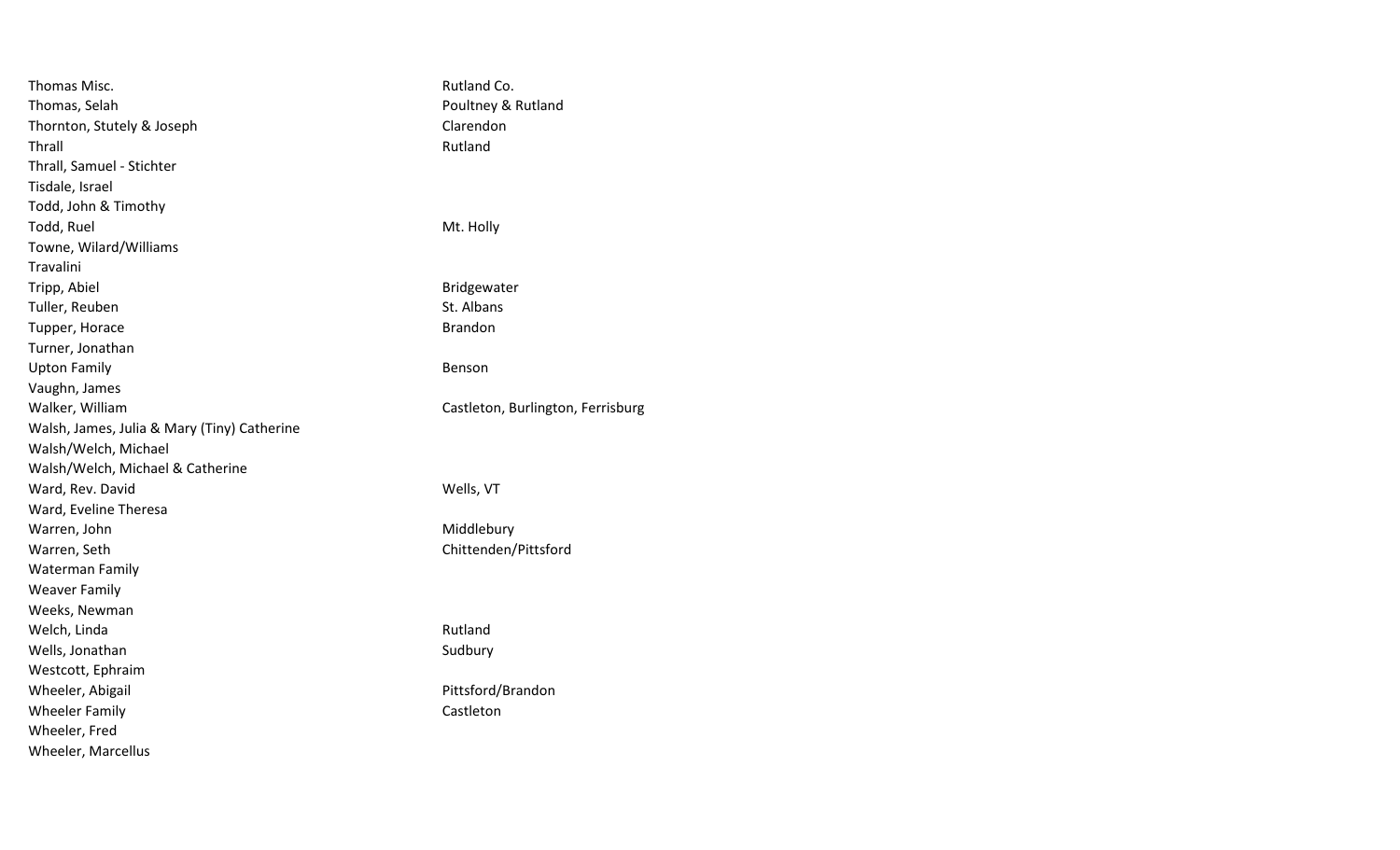| Thomas Misc.                                | Rutland Co.                       |
|---------------------------------------------|-----------------------------------|
| Thomas, Selah                               | Poultney & Rutland                |
| Thornton, Stutely & Joseph                  | Clarendon                         |
| Thrall                                      | Rutland                           |
| Thrall, Samuel - Stichter                   |                                   |
| Tisdale, Israel                             |                                   |
| Todd, John & Timothy                        |                                   |
| Todd, Ruel                                  | Mt. Holly                         |
| Towne, Wilard/Williams                      |                                   |
| Travalini                                   |                                   |
| Tripp, Abiel                                | Bridgewater                       |
| Tuller, Reuben                              | St. Albans                        |
| Tupper, Horace                              | <b>Brandon</b>                    |
| Turner, Jonathan                            |                                   |
| <b>Upton Family</b>                         | Benson                            |
| Vaughn, James                               |                                   |
| Walker, William                             | Castleton, Burlington, Ferrisburg |
| Walsh, James, Julia & Mary (Tiny) Catherine |                                   |
| Walsh/Welch, Michael                        |                                   |
| Walsh/Welch, Michael & Catherine            |                                   |
| Ward, Rev. David                            | Wells, VT                         |
| Ward, Eveline Theresa                       |                                   |
| Warren, John                                | Middlebury                        |
| Warren, Seth                                | Chittenden/Pittsford              |
| <b>Waterman Family</b>                      |                                   |
| <b>Weaver Family</b>                        |                                   |
| Weeks, Newman                               |                                   |
| Welch, Linda                                | Rutland                           |
| Wells, Jonathan                             | Sudbury                           |
| Westcott, Ephraim                           |                                   |
| Wheeler, Abigail                            | Pittsford/Brandon                 |
| <b>Wheeler Family</b>                       | Castleton                         |
| Wheeler, Fred                               |                                   |
| Wheeler, Marcellus                          |                                   |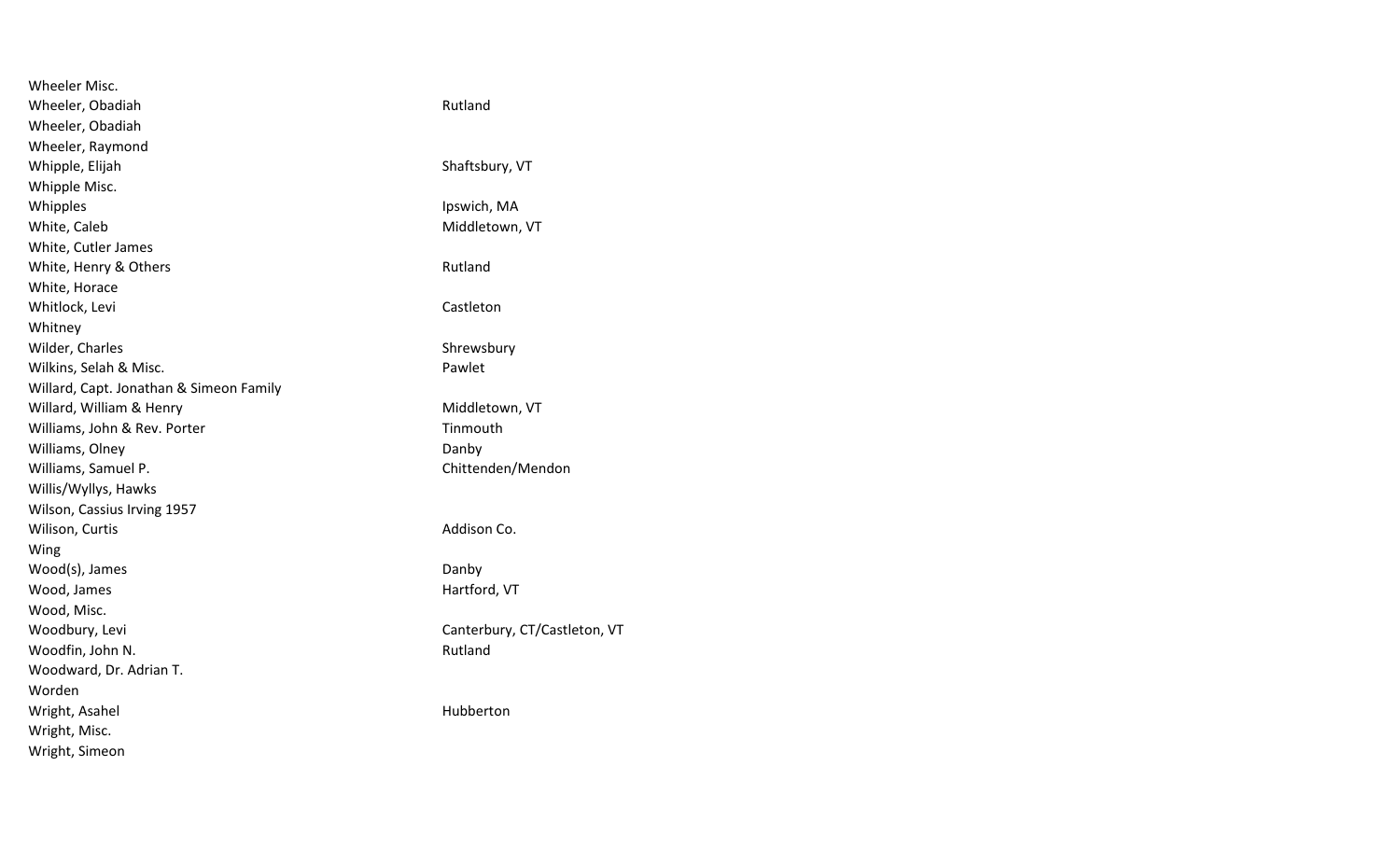| <b>Wheeler Misc.</b>                    |                              |
|-----------------------------------------|------------------------------|
| Wheeler, Obadiah                        | Rutland                      |
| Wheeler, Obadiah                        |                              |
| Wheeler, Raymond                        |                              |
| Whipple, Elijah                         | Shaftsbury, VT               |
| Whipple Misc.                           |                              |
| Whipples                                | Ipswich, MA                  |
| White, Caleb                            | Middletown, VT               |
| White, Cutler James                     |                              |
| White, Henry & Others                   | Rutland                      |
| White, Horace                           |                              |
| Whitlock, Levi                          | Castleton                    |
| Whitney                                 |                              |
| Wilder, Charles                         | Shrewsbury                   |
| Wilkins, Selah & Misc.                  | Pawlet                       |
| Willard, Capt. Jonathan & Simeon Family |                              |
| Willard, William & Henry                | Middletown, VT               |
| Williams, John & Rev. Porter            | Tinmouth                     |
| Williams, Olney                         | Danby                        |
| Williams, Samuel P.                     | Chittenden/Mendon            |
| Willis/Wyllys, Hawks                    |                              |
| Wilson, Cassius Irving 1957             |                              |
| Wilison, Curtis                         | Addison Co.                  |
| Wing                                    |                              |
| Wood(s), James                          | Danby                        |
| Wood, James                             | Hartford, VT                 |
| Wood, Misc.                             |                              |
| Woodbury, Levi                          | Canterbury, CT/Castleton, VT |
| Woodfin, John N.                        | Rutland                      |
| Woodward, Dr. Adrian T.                 |                              |
| Worden                                  |                              |
| Wright, Asahel                          | Hubberton                    |
| Wright, Misc.                           |                              |
| Wright, Simeon                          |                              |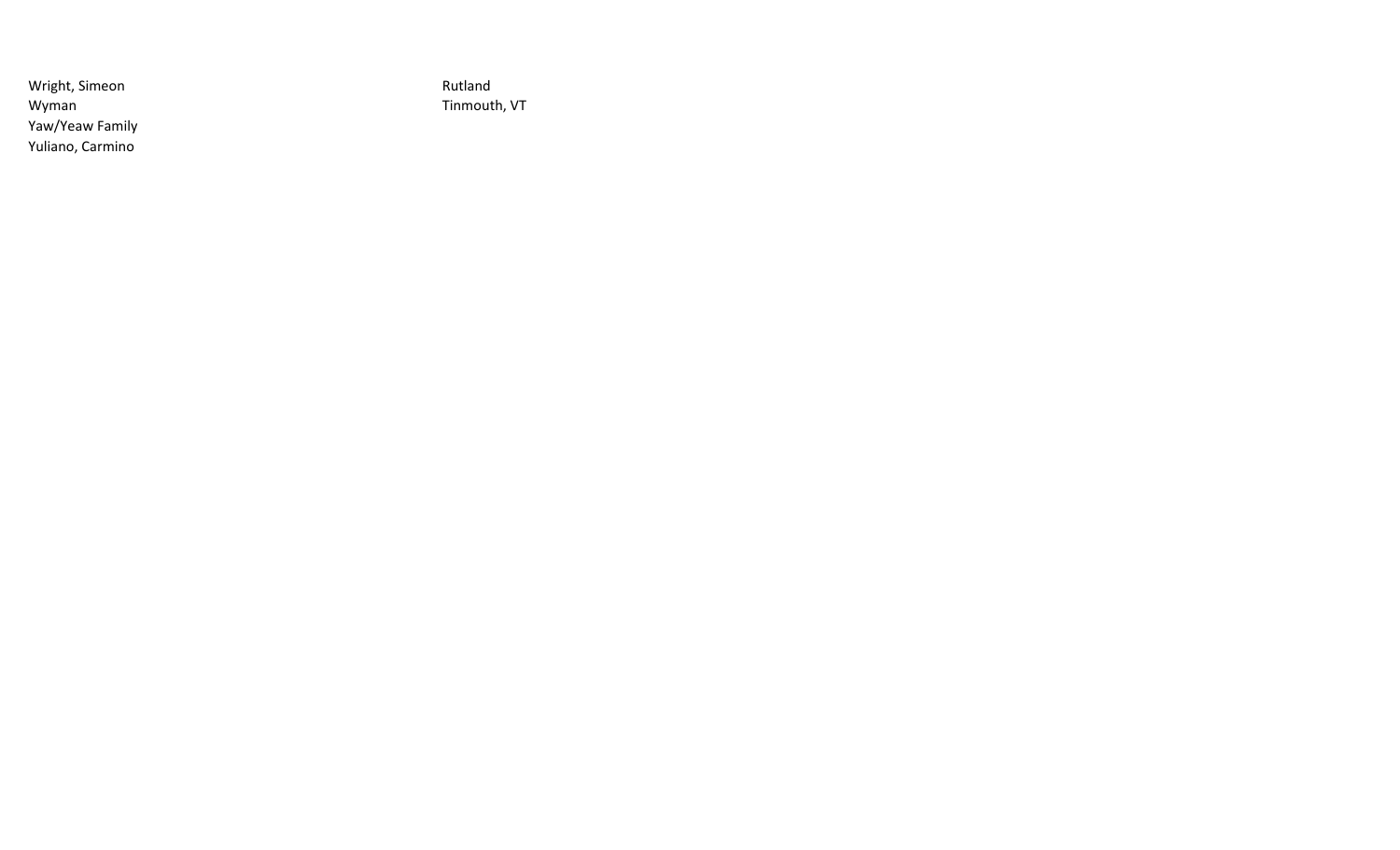Wright, Simeon **Rutland** Wyman Tinmouth, VT Yaw/Yeaw Family Yuliano, Carmino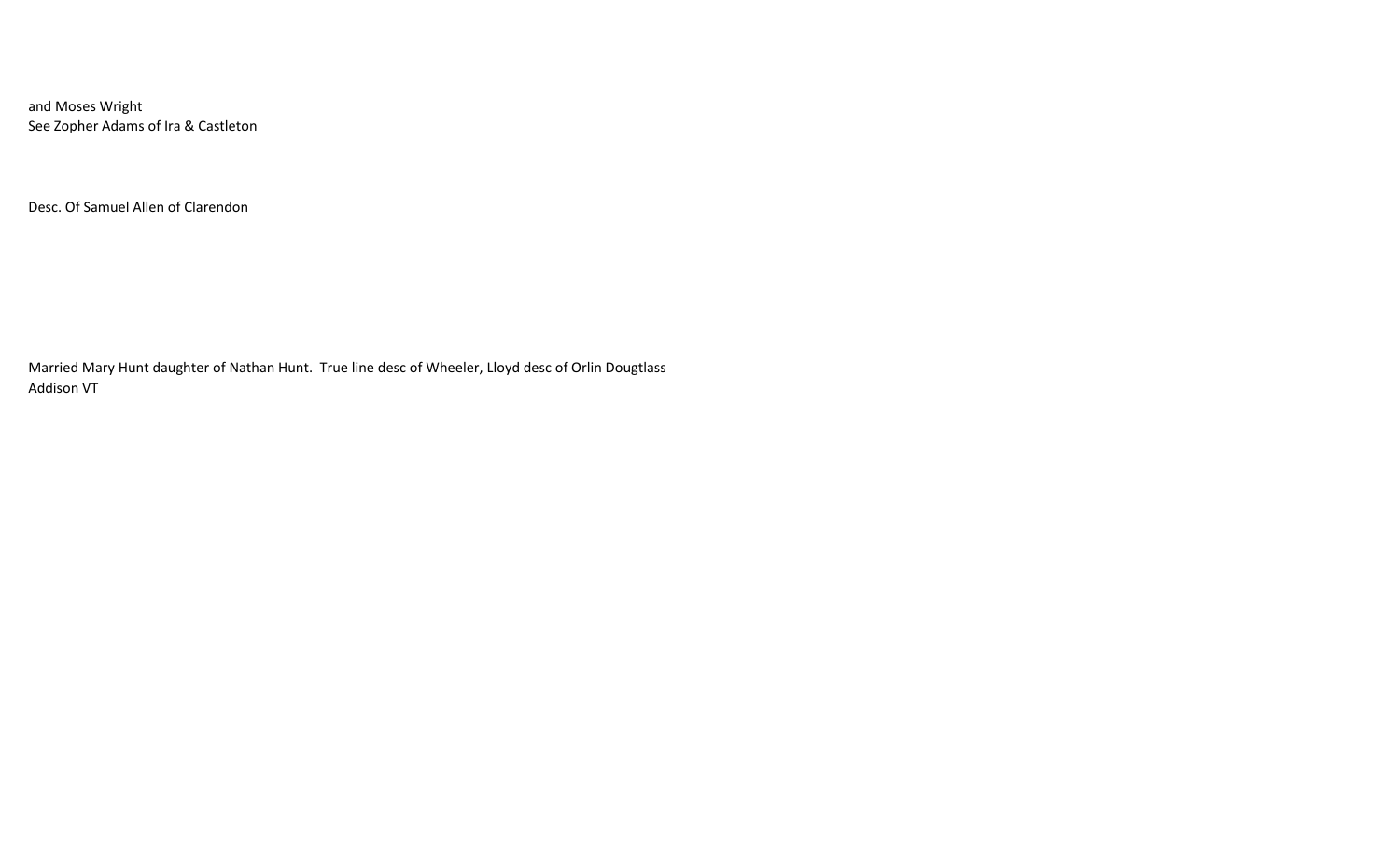and Moses Wright See Zopher Adams of Ira & Castleton

Desc. Of Samuel Allen of Clarendon

Married Mary Hunt daughter of Nathan Hunt. True line desc of Wheeler, Lloyd desc of Orlin Dougtlass Addison VT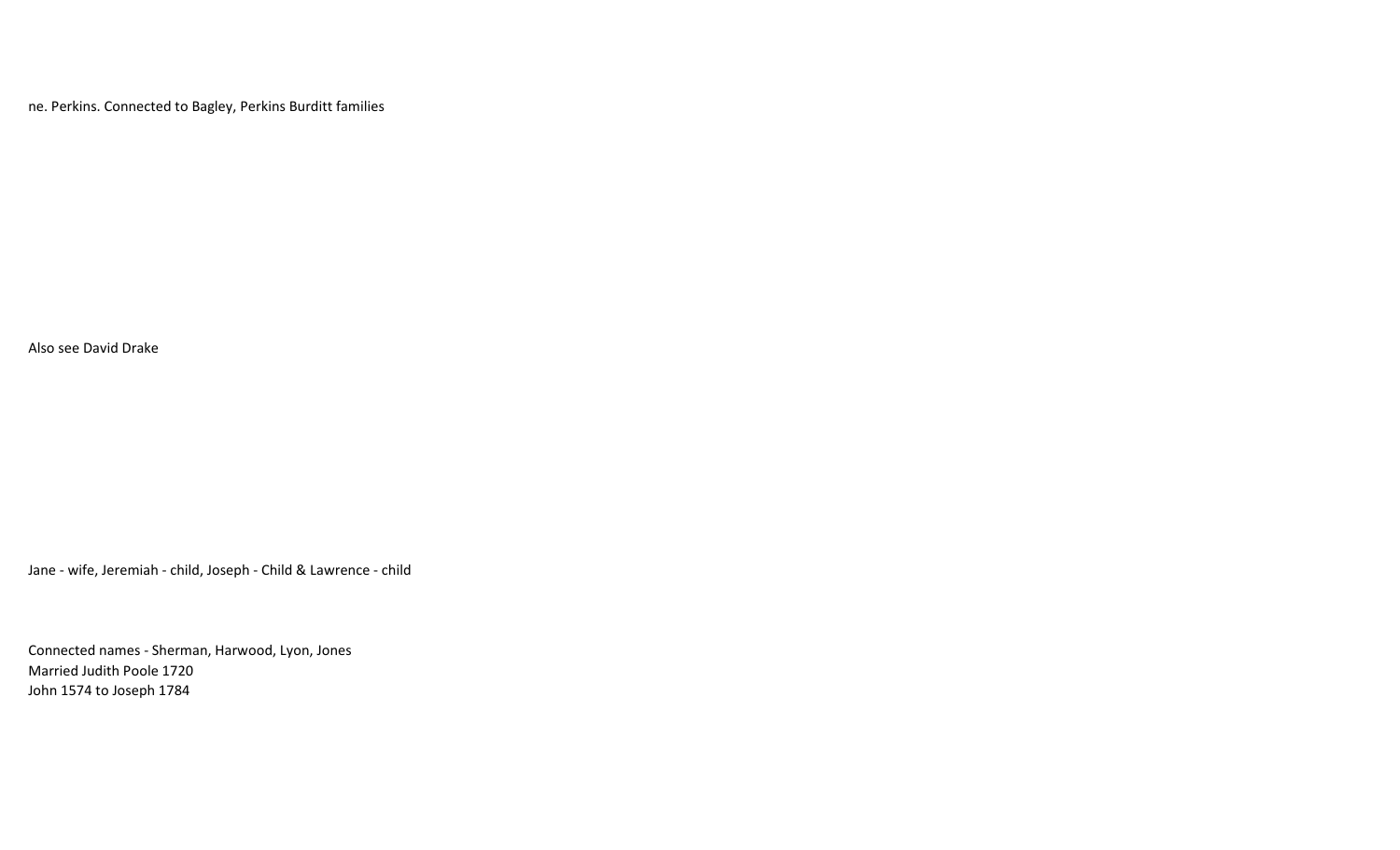ne. Perkins. Connected to Bagley, Perkins Burditt families

Also see David Drake

Jane - wife, Jeremiah - child, Joseph - Child & Lawrence - child

Connected names - Sherman, Harwood, Lyon, Jones Married Judith Poole 1720 John 1574 to Joseph 1784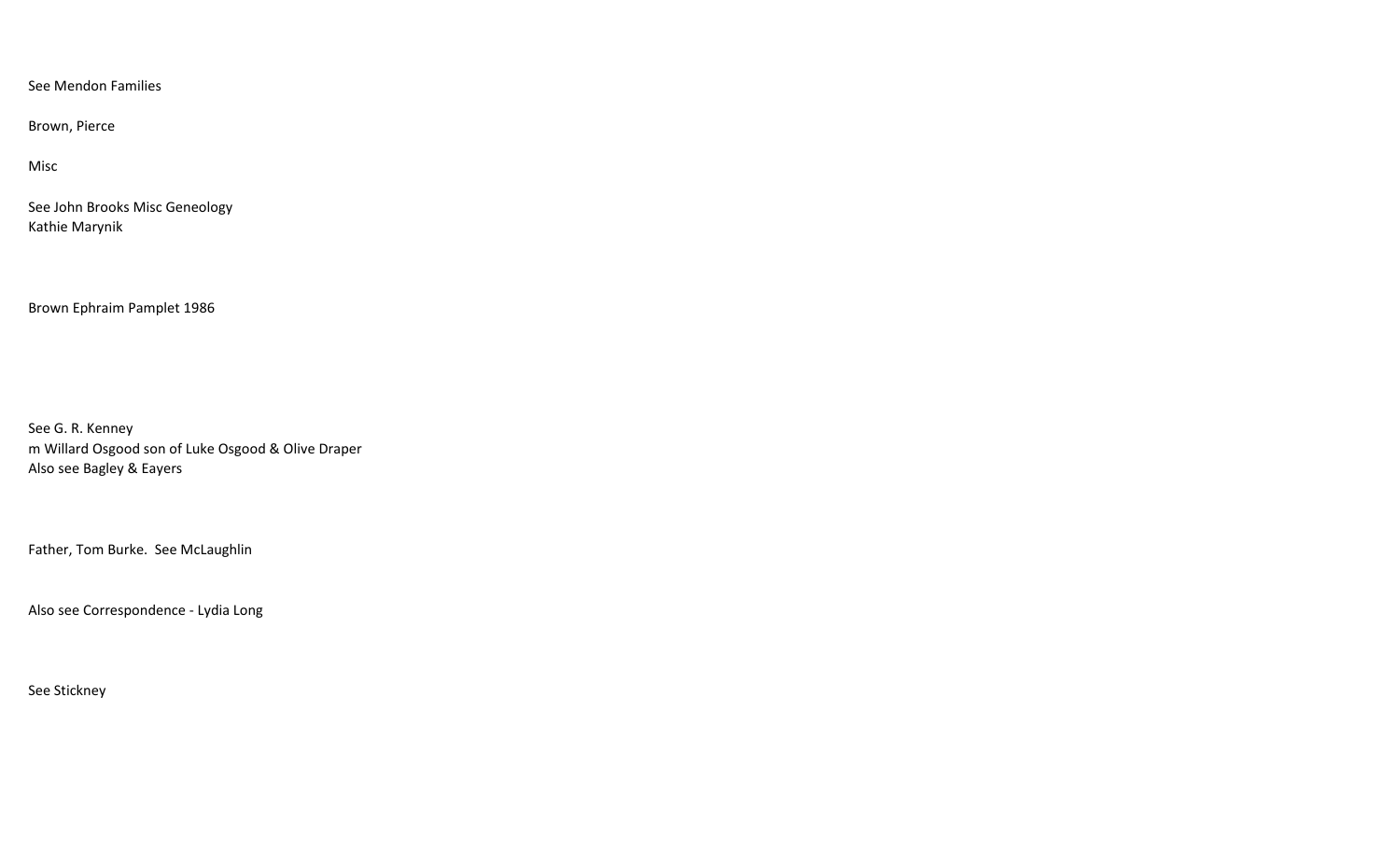See Mendon Families

Brown, Pierce

Misc

See John Brooks Misc Geneology Kathie Marynik

Brown Ephraim Pamplet 1986

See G. R. Kenney m Willard Osgood son of Luke Osgood & Olive Draper Also see Bagley & Eayers

Father, Tom Burke. See McLaughlin

Also see Correspondence - Lydia Long

See Stickney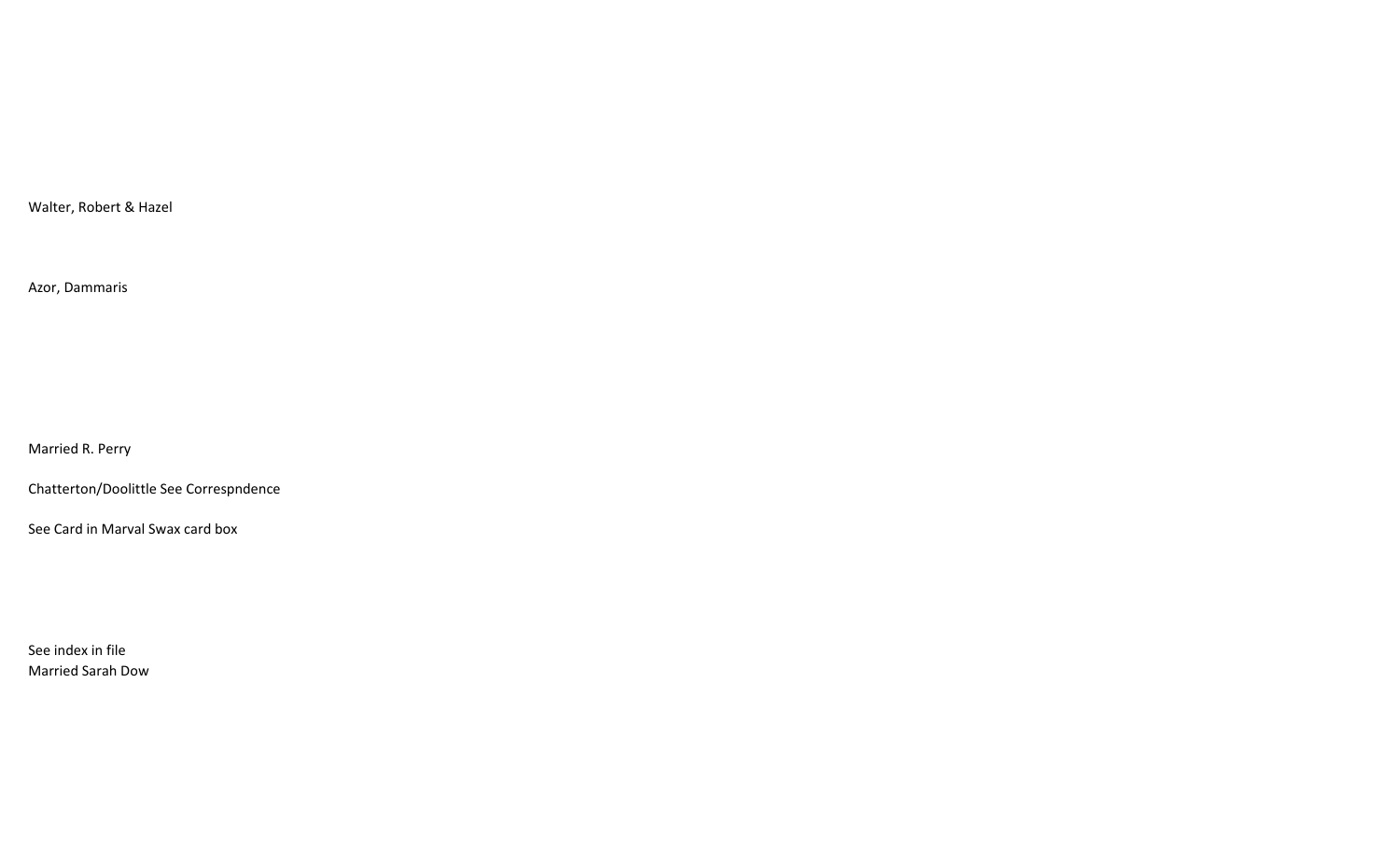Walter, Robert & Hazel

Azor, Dammaris

Married R. Perry

Chatterton/Doolittle See Correspndence

See Card in Marval Swax card box

See index in file Married Sarah Dow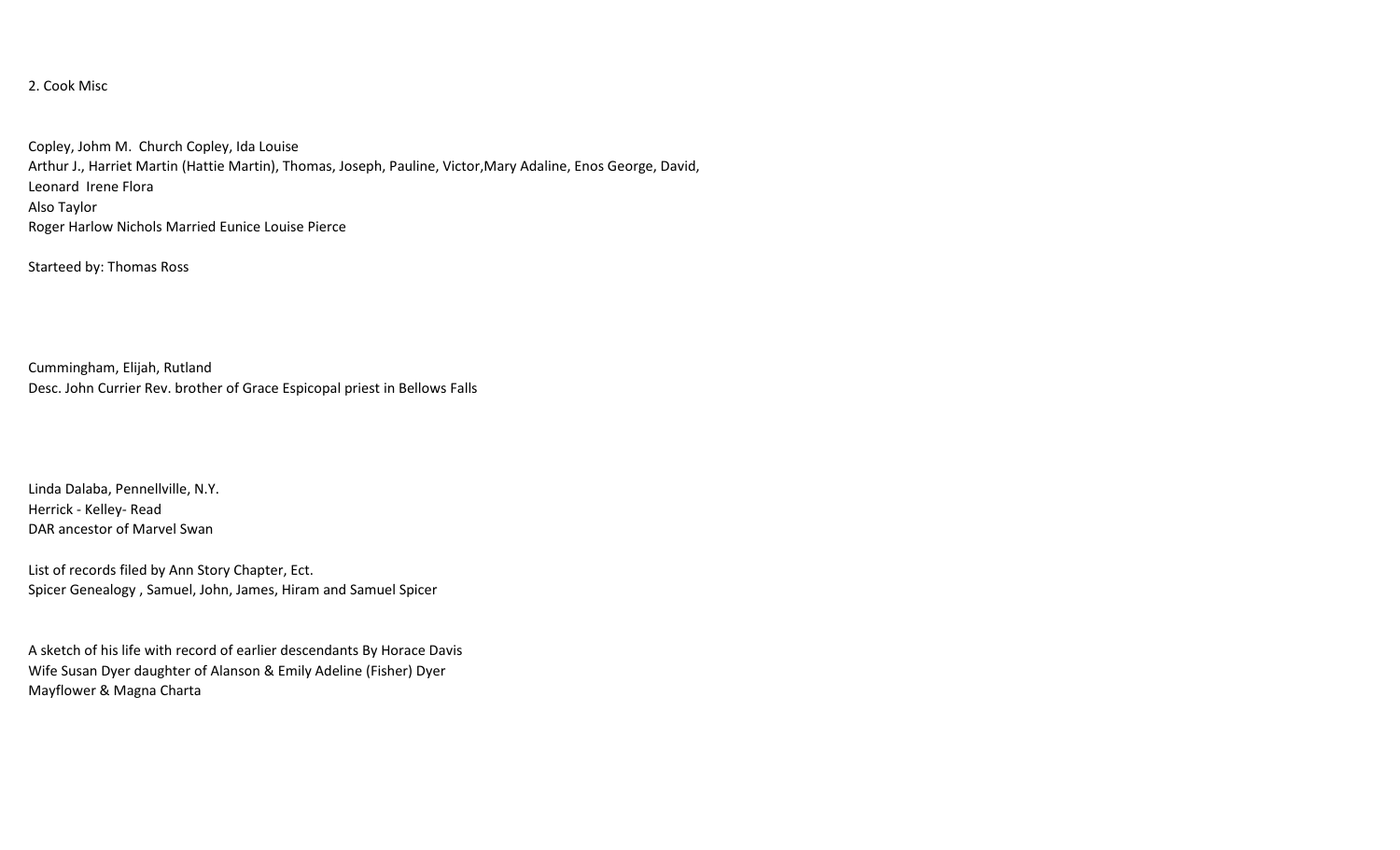## 2. Cook Misc

Copley, Johm M. Church Copley, Ida Louise Arthur J., Harriet Martin (Hattie Martin), Thomas, Joseph, Pauline, Victor,Mary Adaline, Enos George, David, Leonard Irene Flora Also Taylor Roger Harlow Nichols Married Eunice Louise Pierce

Starteed by: Thomas Ross

Cummingham, Elijah, Rutland Desc. John Currier Rev. brother of Grace Espicopal priest in Bellows Falls

Linda Dalaba, Pennellville, N.Y. Herrick - Kelley- Read DAR ancestor of Marvel Swan

List of records filed by Ann Story Chapter, Ect. Spicer Genealogy , Samuel, John, James, Hiram and Samuel Spicer

A sketch of his life with record of earlier descendants By Horace Davis Wife Susan Dyer daughter of Alanson & Emily Adeline (Fisher) Dyer Mayflower & Magna Charta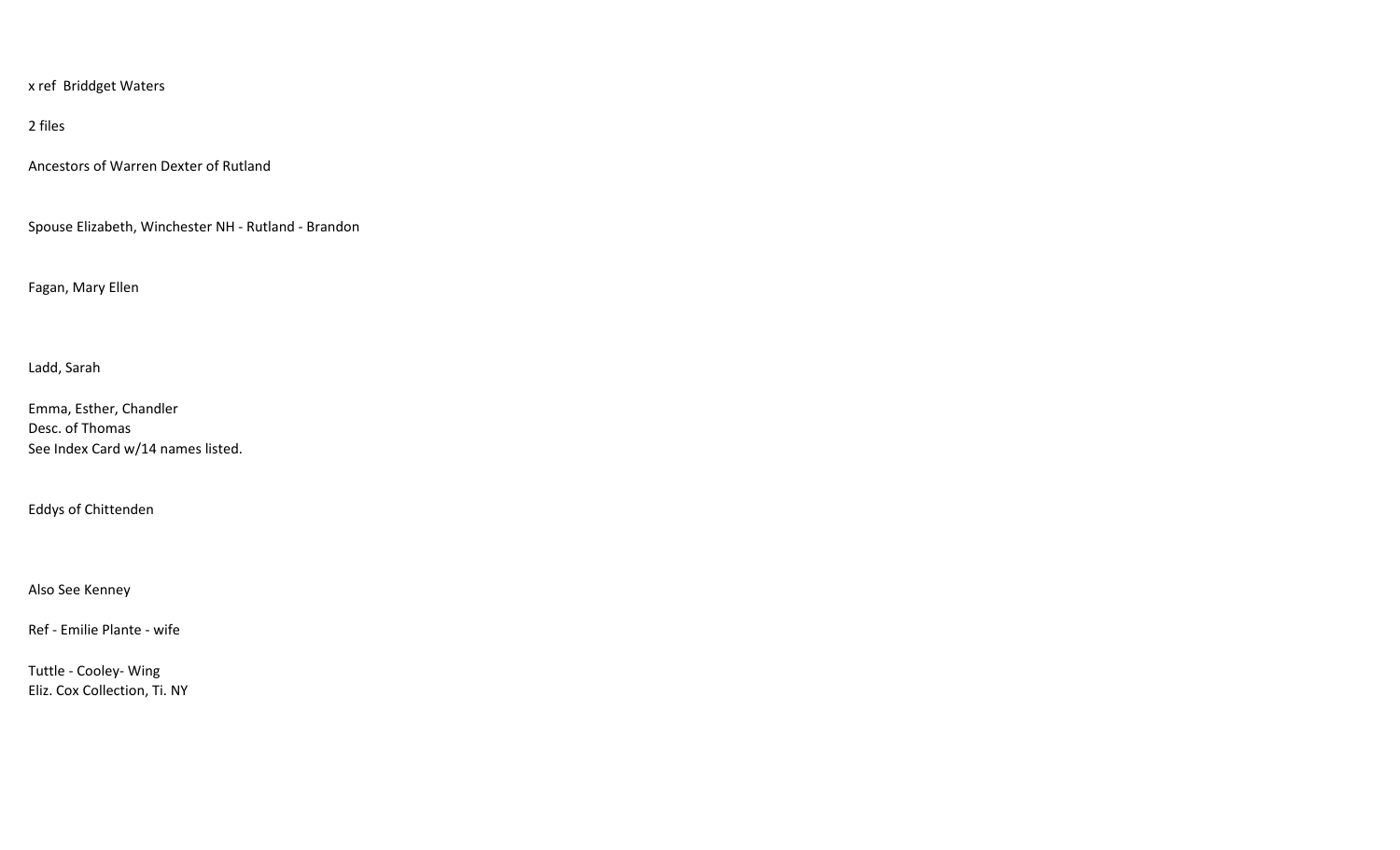x ref Briddget Waters

2 files

Ancestors of Warren Dexter of Rutland

Spouse Elizabeth, Winchester NH - Rutland - Brandon

Fagan, Mary Ellen

Ladd, Sarah

Emma, Esther, Chandler Desc. of Thomas See Index Card w/14 names listed.

Eddys of Chittenden

Also See Kenney

Ref - Emilie Plante - wife

Tuttle - Cooley- Wing Eliz. Cox Collection, Ti. NY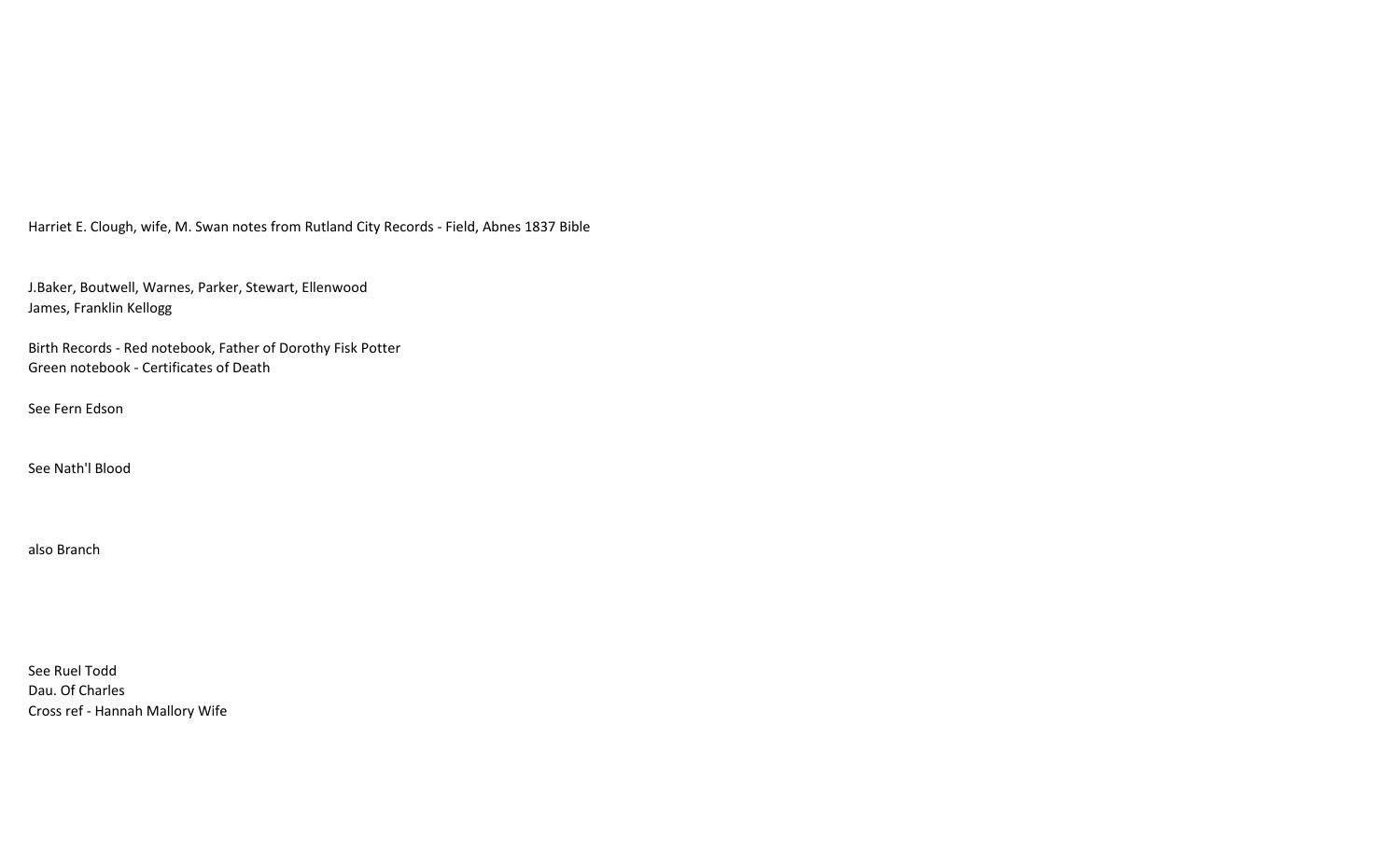Harriet E. Clough, wife, M. Swan notes from Rutland City Records - Field, Abnes 1837 Bible

J.Baker, Boutwell, Warnes, Parker, Stewart, Ellenwood James, Franklin Kellogg

Birth Records - Red notebook, Father of Dorothy Fisk Potter Green notebook - Certificates of Death

See Fern Edson

See Nath'l Blood

also Branch

See Ruel Todd Dau. Of Charles Cross ref - Hannah Mallory Wife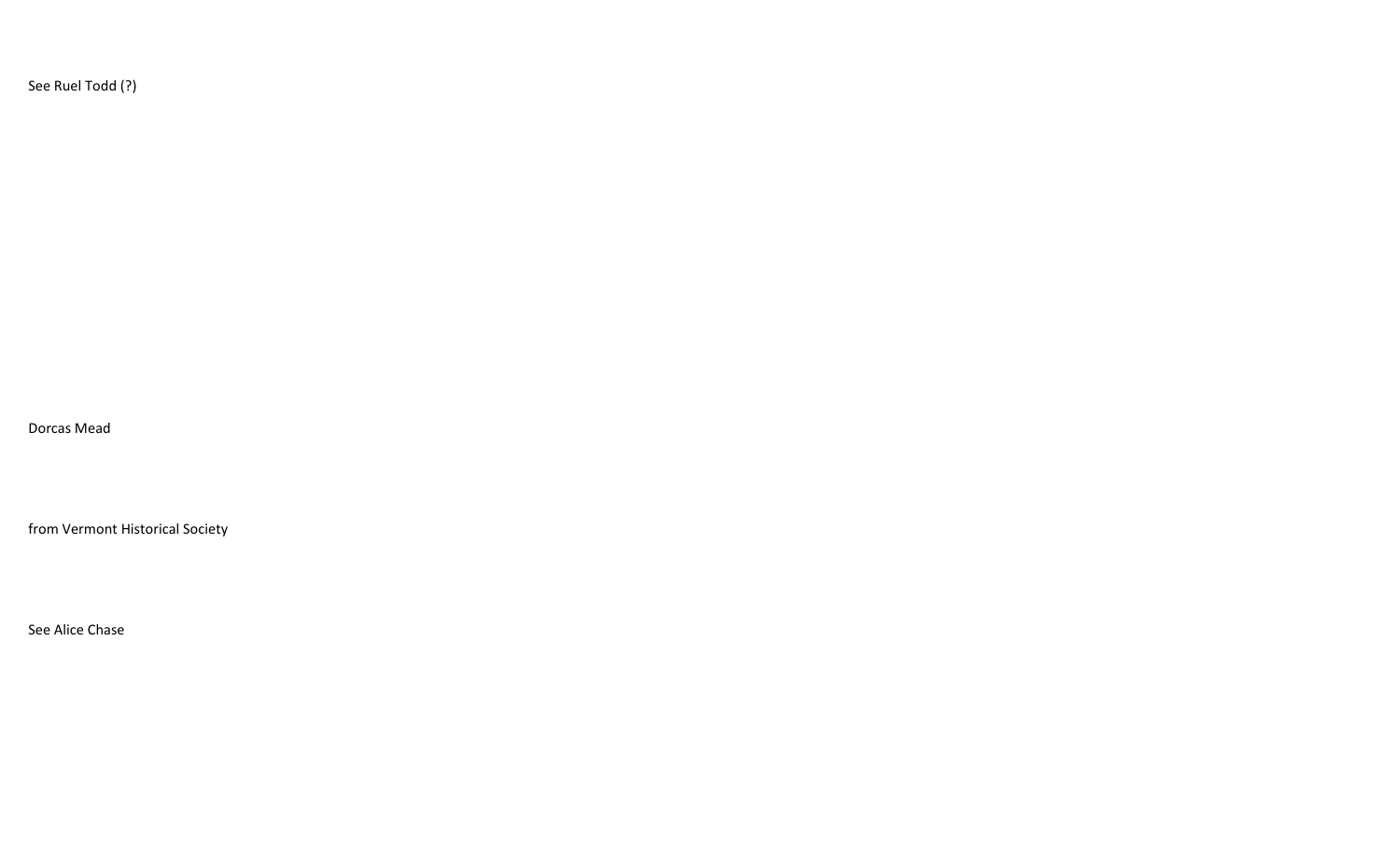See Ruel Todd (?)

Dorcas Mead

from Vermont Historical Society

See Alice Chase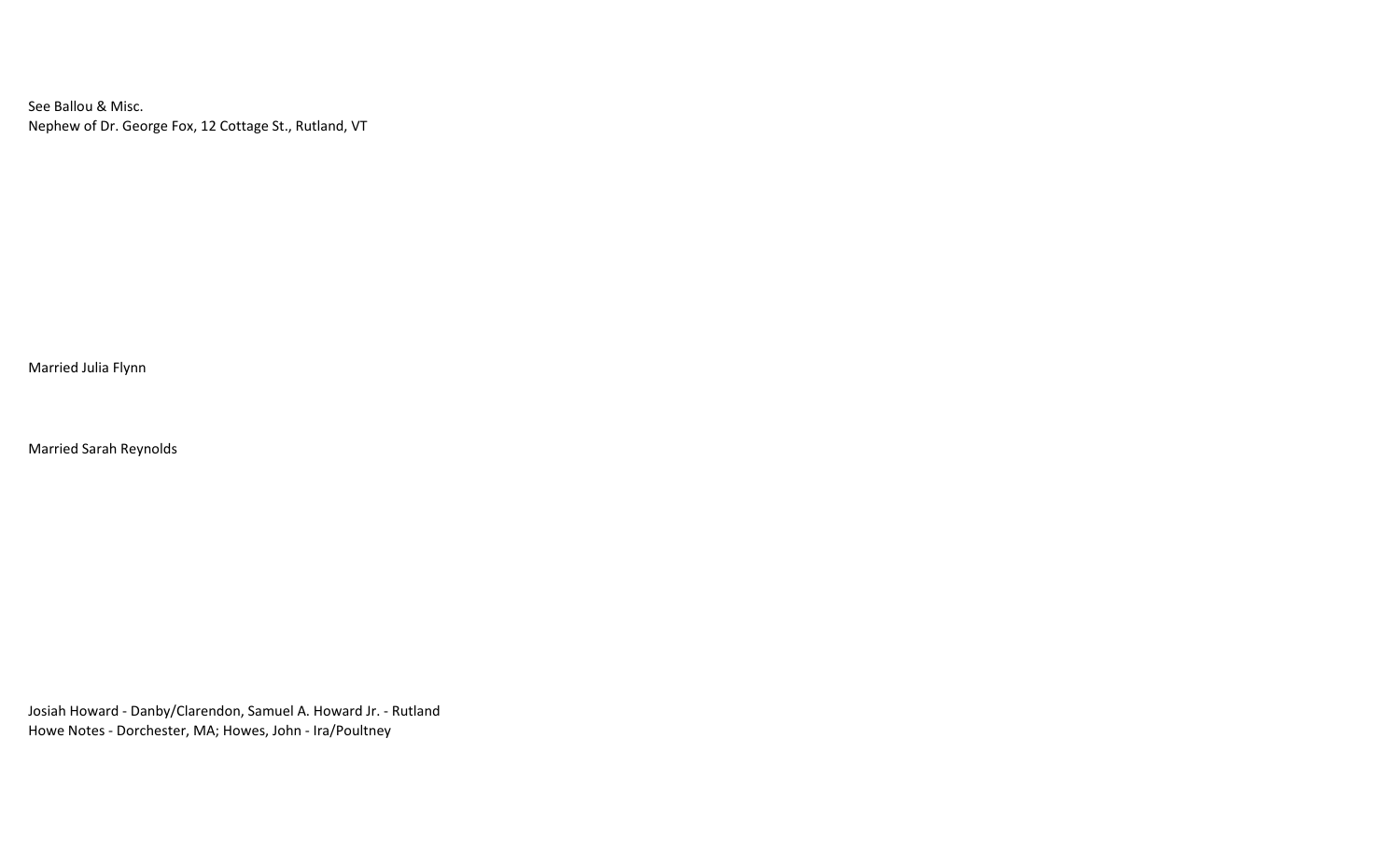See Ballou & Misc. Nephew of Dr. George Fox, 12 Cottage St., Rutland, VT

Married Julia Flynn

Married Sarah Reynolds

Josiah Howard - Danby/Clarendon, Samuel A. Howard Jr. - Rutland Howe Notes - Dorchester, MA; Howes, John - Ira/Poultney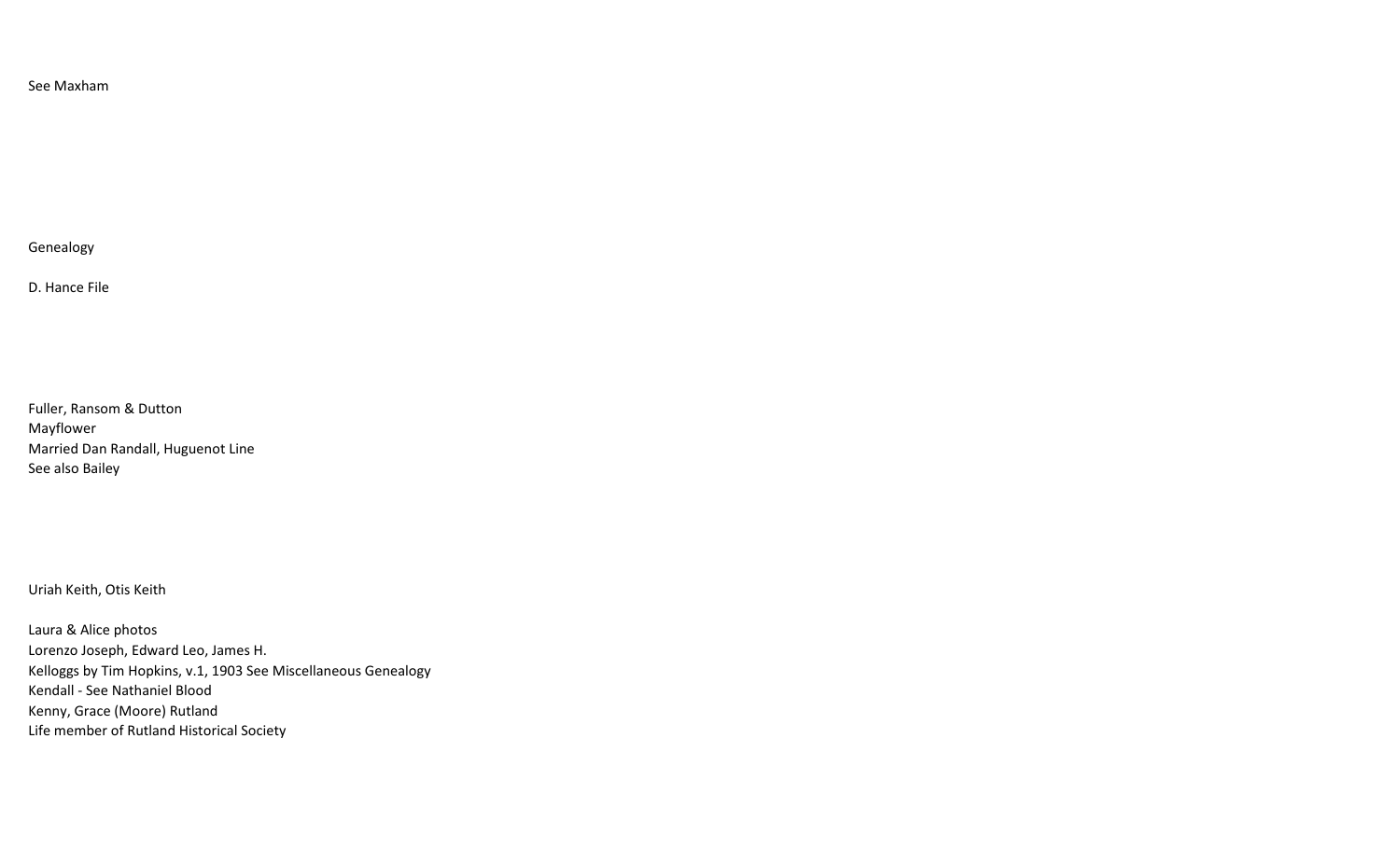### See Maxham

Genealogy

D. Hance File

Fuller, Ransom & Dutton Mayflower Married Dan Randall, Huguenot Line See also Bailey

Uriah Keith, Otis Keith

Laura & Alice photos Lorenzo Joseph, Edward Leo, James H. Kelloggs by Tim Hopkins, v.1, 1903 See Miscellaneous Genealogy Kendall - See Nathaniel Blood Kenny, Grace (Moore) Rutland Life member of Rutland Historical Society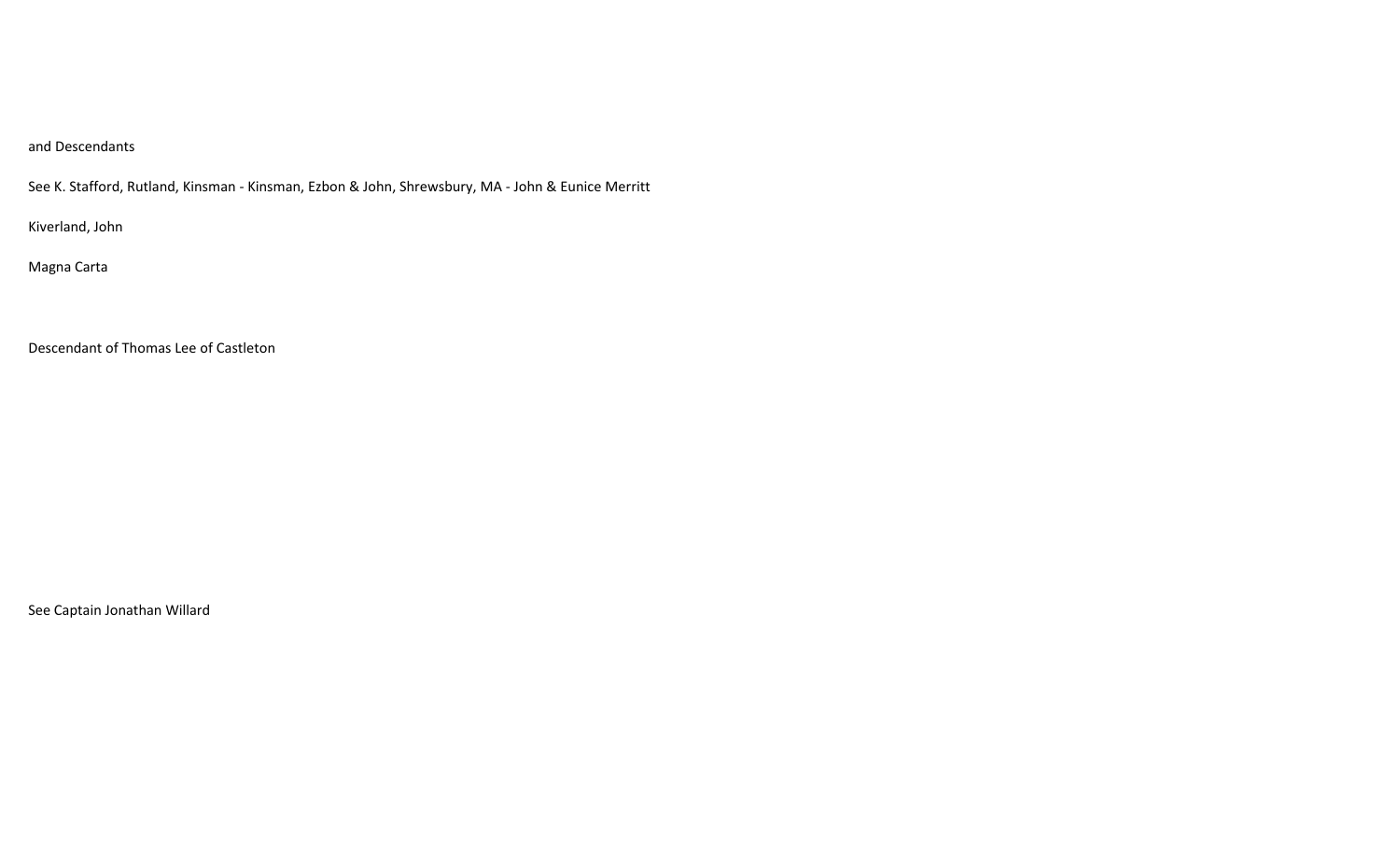# and Descendants

See K. Stafford, Rutland, Kinsman - Kinsman, Ezbon & John, Shrewsbury, MA - John & Eunice Merritt

Kiverland, John

Magna Carta

Descendant of Thomas Lee of Castleton

See Captain Jonathan Willard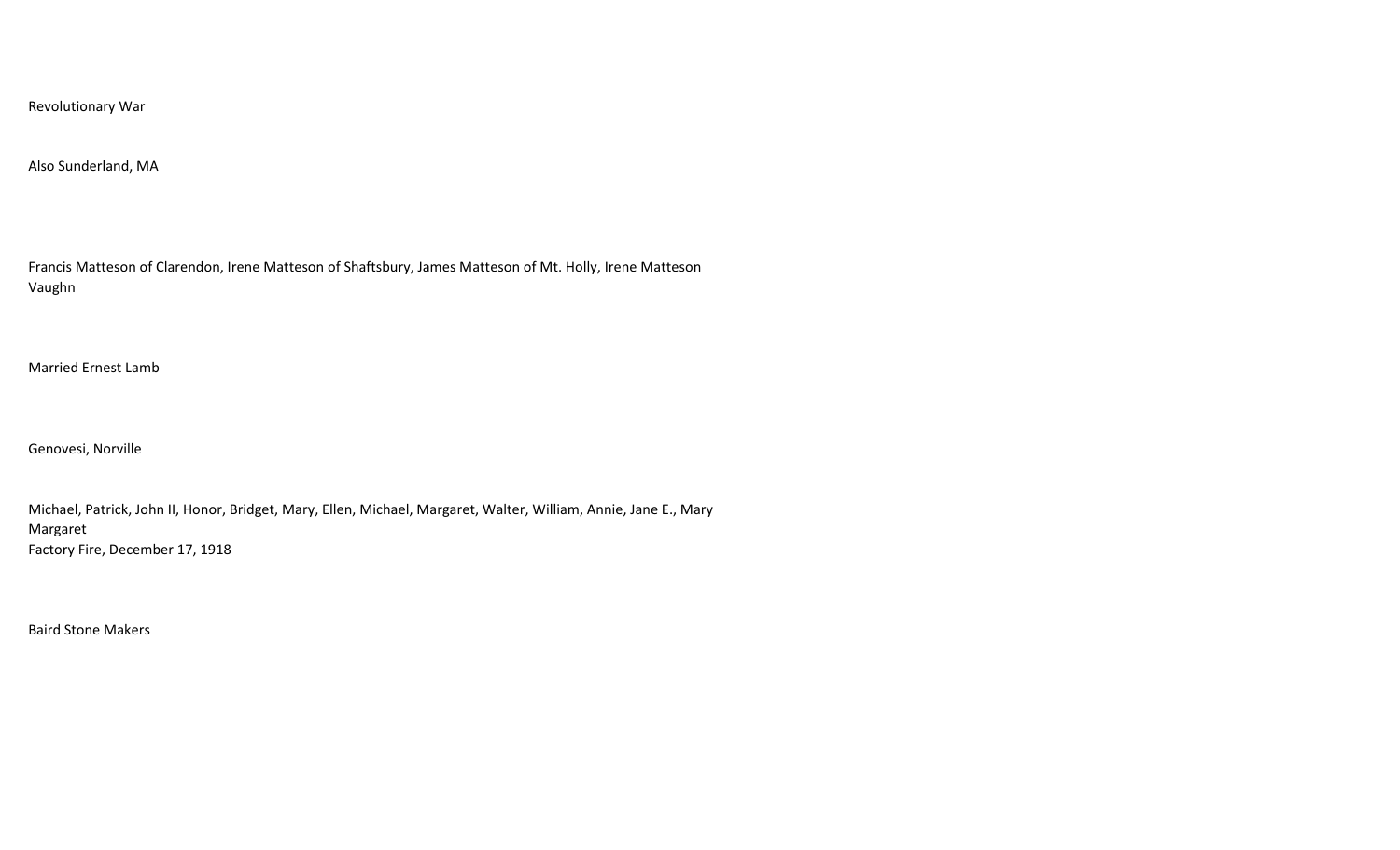Revolutionary War

#### Also Sunderland, MA

Francis Matteson of Clarendon, Irene Matteson of Shaftsbury, James Matteson of Mt. Holly, Irene Matteson Vaughn

Married Ernest Lamb

Genovesi, Norville

Michael, Patrick, John II, Honor, Bridget, Mary, Ellen, Michael, Margaret, Walter, William, Annie, Jane E., Mary Margaret Factory Fire, December 17, 1918

Baird Stone Makers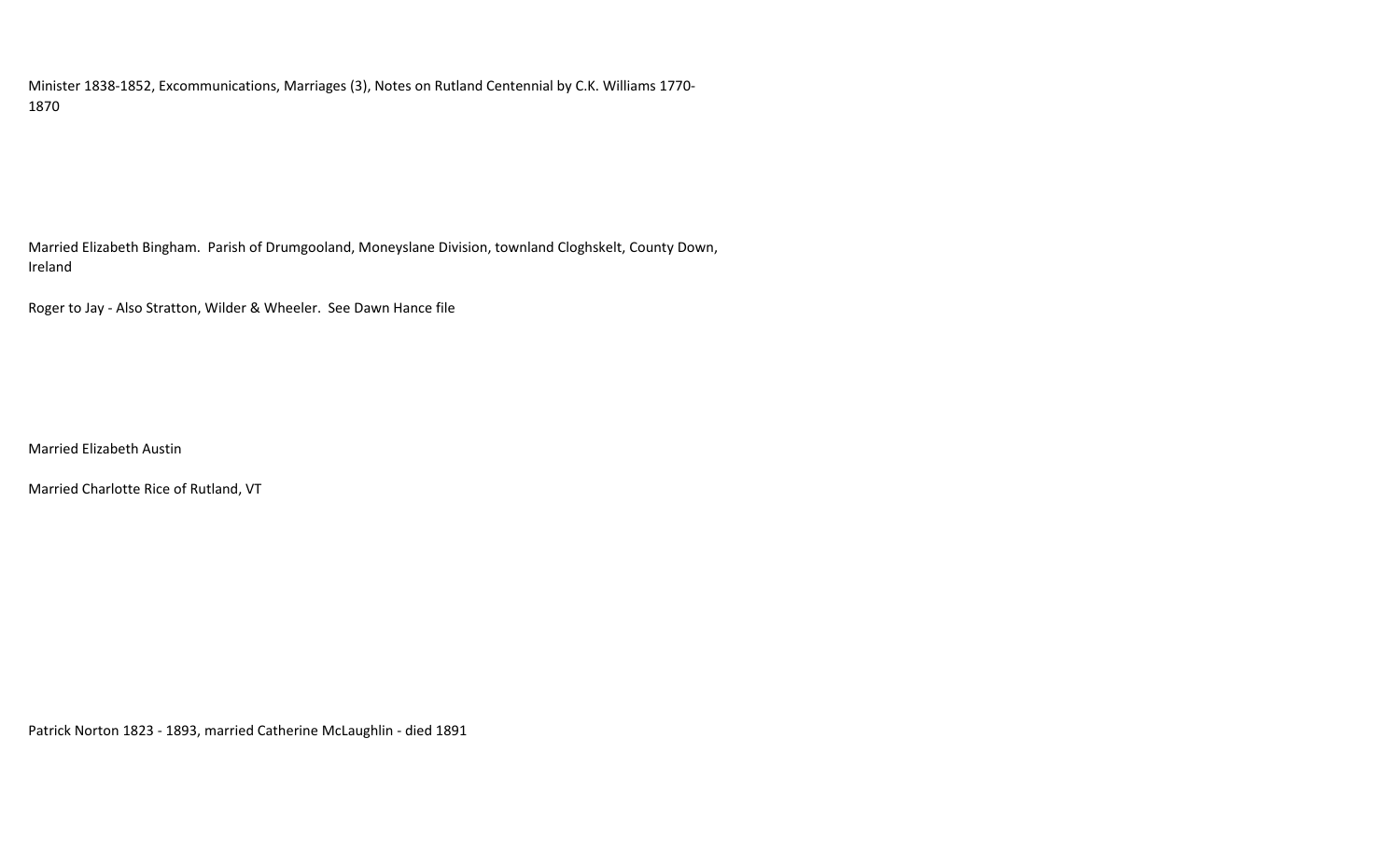Minister 1838-1852, Excommunications, Marriages (3), Notes on Rutland Centennial by C.K. Williams 1770- 1870

Married Elizabeth Bingham. Parish of Drumgooland, Moneyslane Division, townland Cloghskelt, County Down, Ireland

Roger to Jay - Also Stratton, Wilder & Wheeler. See Dawn Hance file

Married Elizabeth Austin

Married Charlotte Rice of Rutland, VT

Patrick Norton 1823 - 1893, married Catherine McLaughlin - died 1891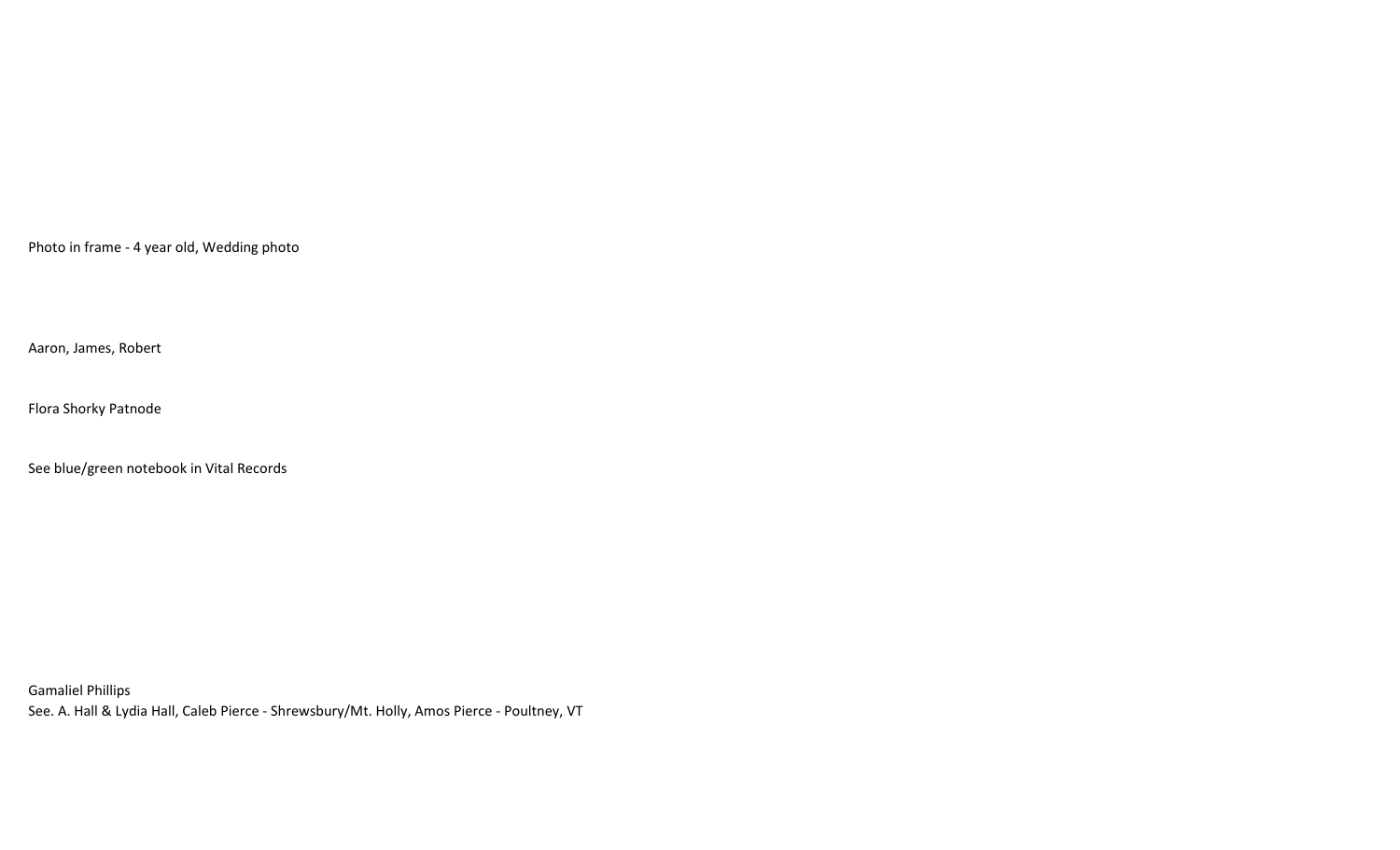Photo in frame - 4 year old, Wedding photo

Aaron, James, Robert

Flora Shorky Patnode

See blue/green notebook in Vital Records

Gamaliel Phillips See. A. Hall & Lydia Hall, Caleb Pierce - Shrewsbury/Mt. Holly, Amos Pierce - Poultney, VT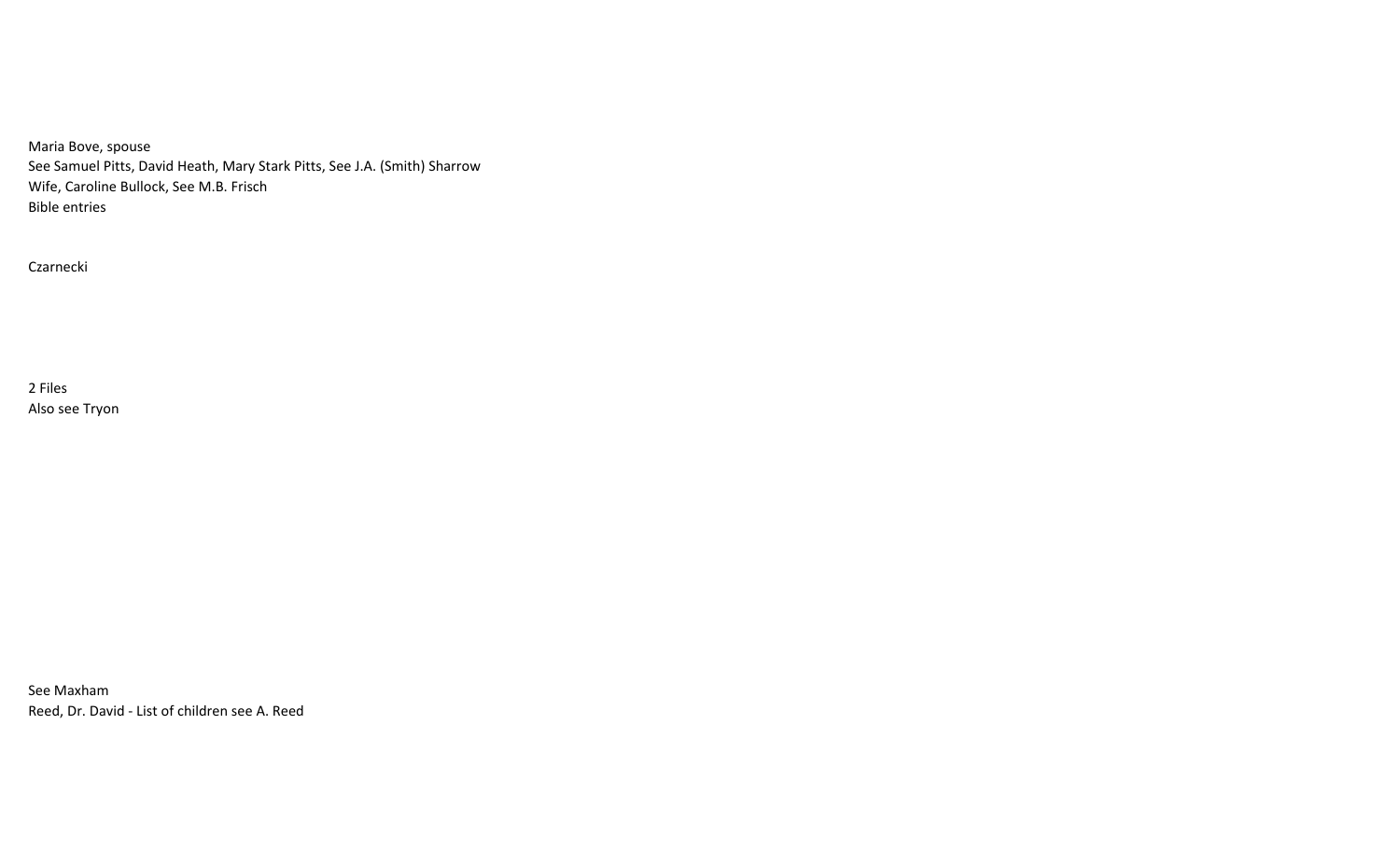Maria Bove, spouse See Samuel Pitts, David Heath, Mary Stark Pitts, See J.A. (Smith) Sharrow Wife, Caroline Bullock, See M.B. Frisch Bible entries

Czarnecki

2 Files Also see Tryon

See Maxham Reed, Dr. David - List of children see A. Reed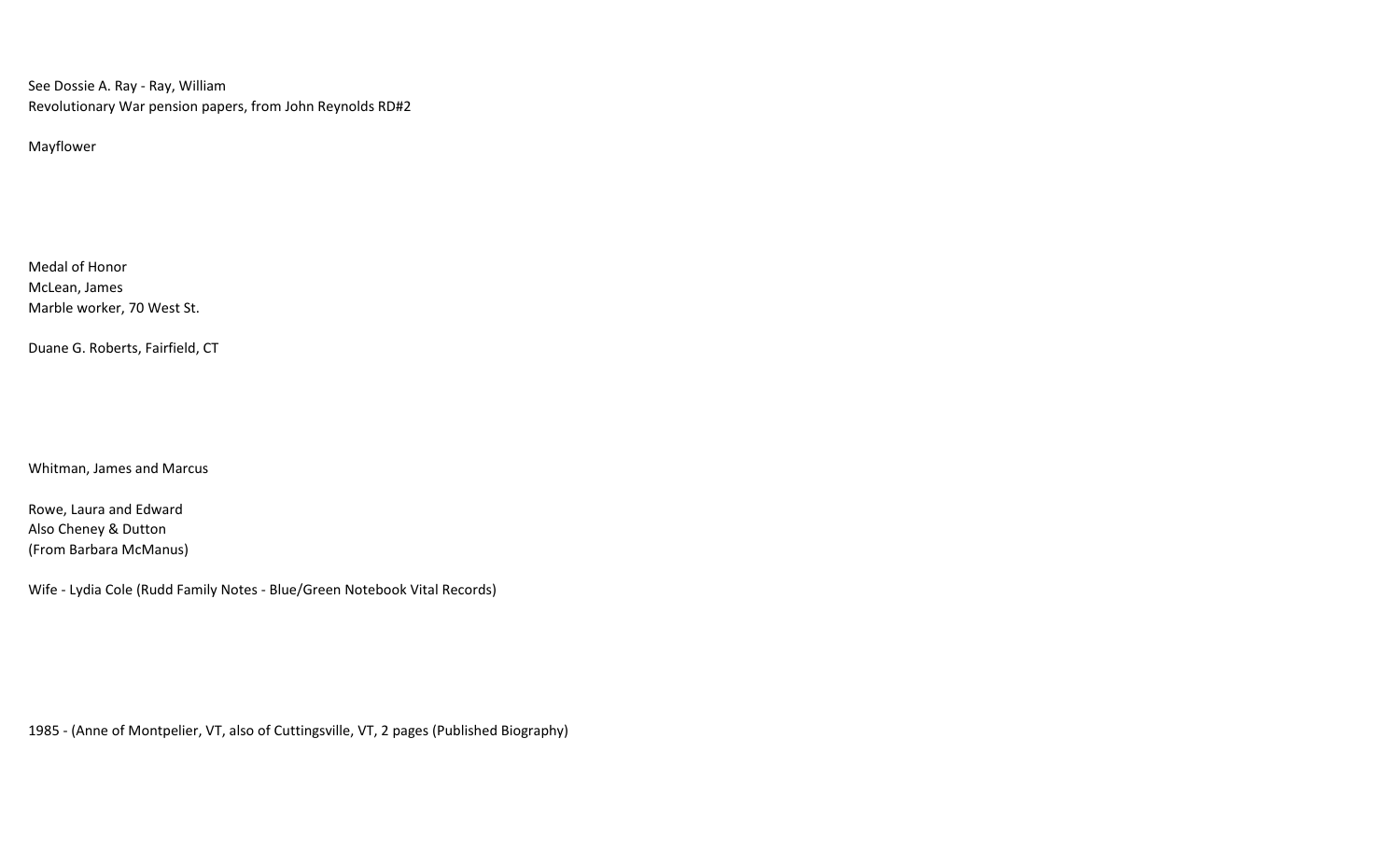See Dossie A. Ray - Ray, William Revolutionary War pension papers, from John Reynolds RD#2

Mayflower

Medal of Honor McLean, James Marble worker, 70 West St.

Duane G. Roberts, Fairfield, CT

Whitman, James and Marcus

Rowe, Laura and Edward Also Cheney & Dutton (From Barbara McManus)

Wife - Lydia Cole (Rudd Family Notes - Blue/Green Notebook Vital Records)

1985 - (Anne of Montpelier, VT, also of Cuttingsville, VT, 2 pages (Published Biography)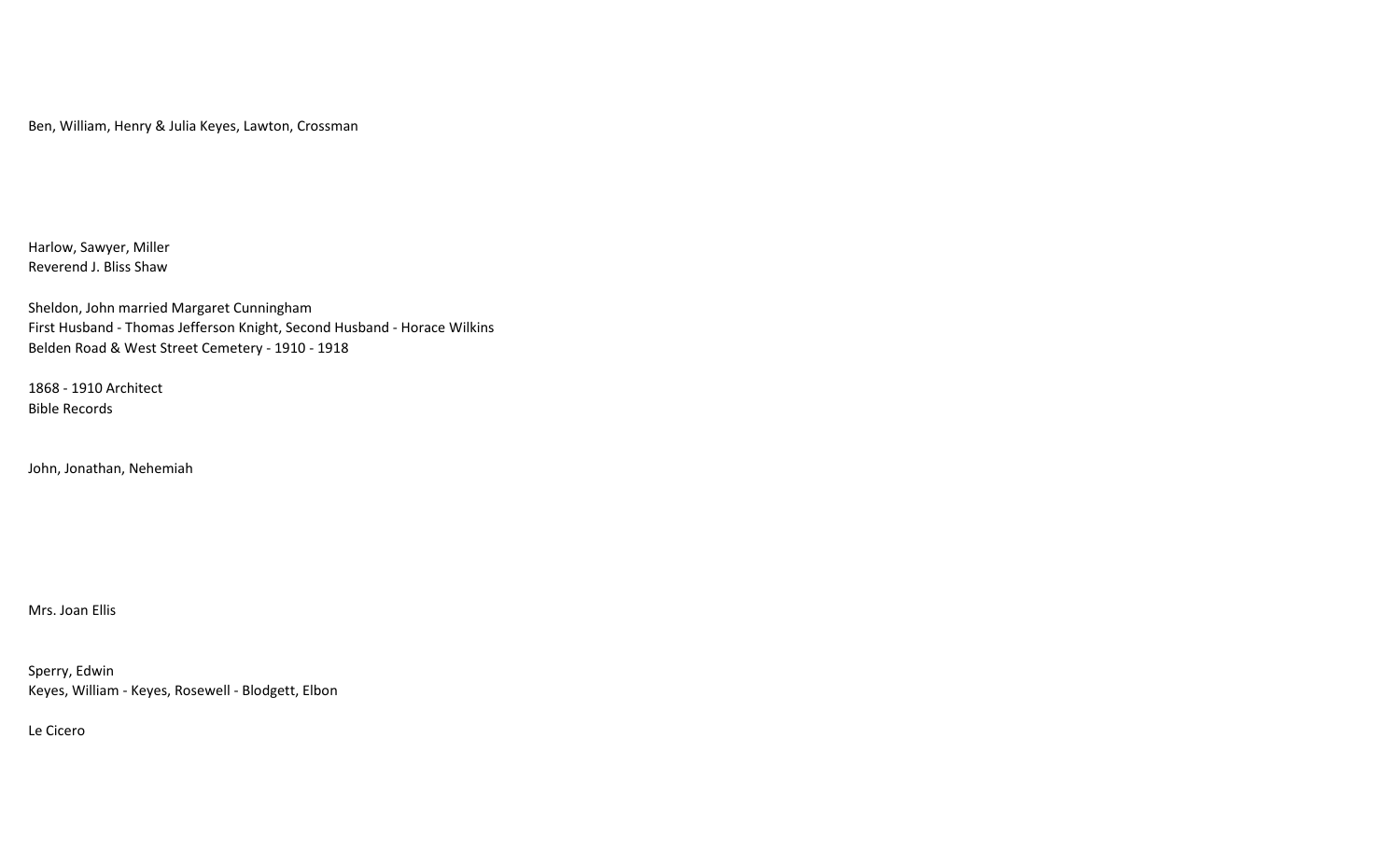Ben, William, Henry & Julia Keyes, Lawton, Crossman

Harlow, Sawyer, Miller Reverend J. Bliss Shaw

Sheldon, John married Margaret Cunningham First Husband - Thomas Jefferson Knight, Second Husband - Horace Wilkins Belden Road & West Street Cemetery - 1910 - 1918

1868 - 1910 Architect Bible Records

John, Jonathan, Nehemiah

Mrs. Joan Ellis

Sperry, Edwin Keyes, William - Keyes, Rosewell - Blodgett, Elbon

Le Cicero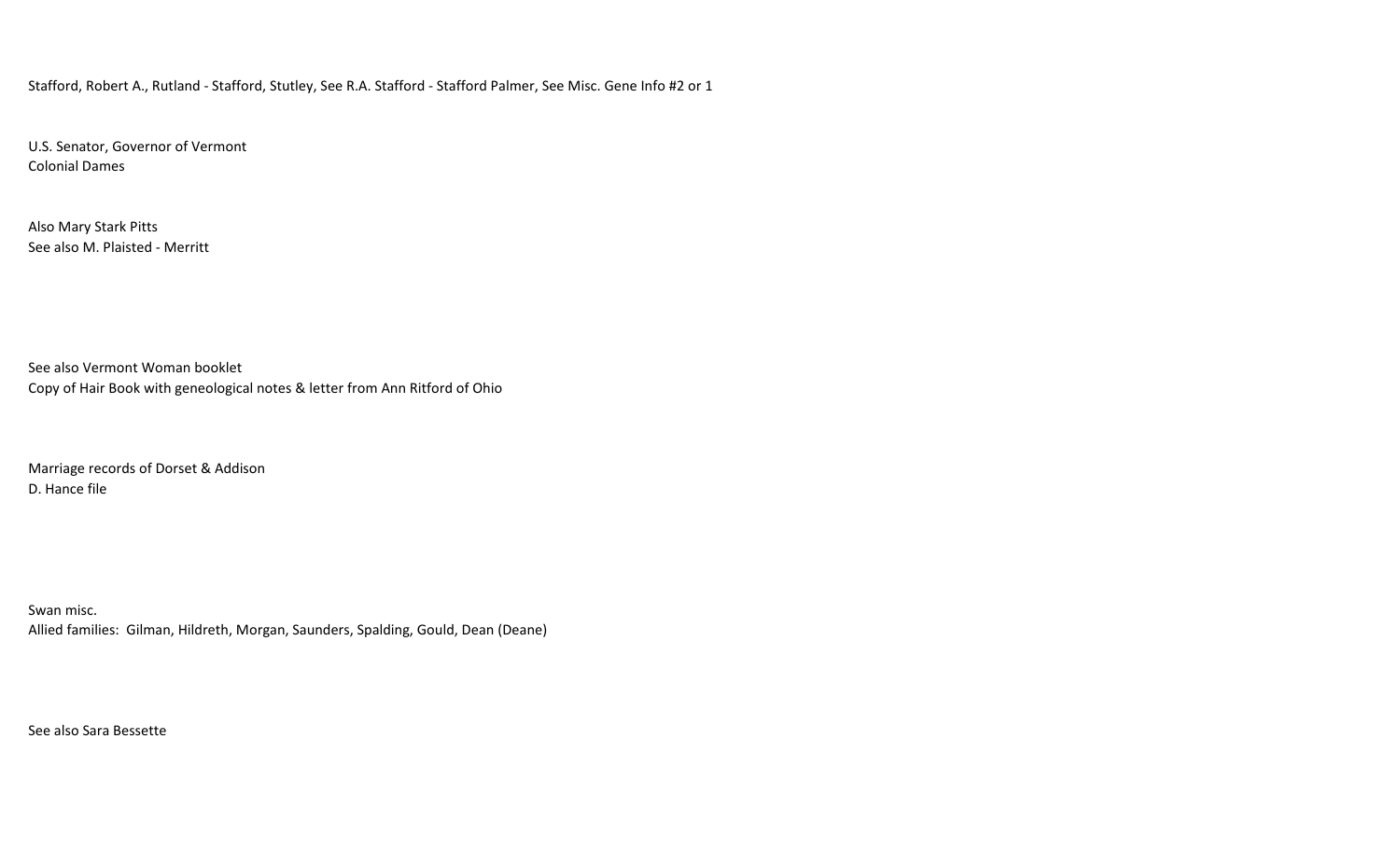Stafford, Robert A., Rutland - Stafford, Stutley, See R.A. Stafford - Stafford Palmer, See Misc. Gene Info #2 or 1

U.S. Senator, Governor of Vermont Colonial Dames

Also Mary Stark Pitts See also M. Plaisted - Merritt

See also Vermont Woman booklet Copy of Hair Book with geneological notes & letter from Ann Ritford of Ohio

Marriage records of Dorset & Addison D. Hance file

Swan misc. Allied families: Gilman, Hildreth, Morgan, Saunders, Spalding, Gould, Dean (Deane)

See also Sara Bessette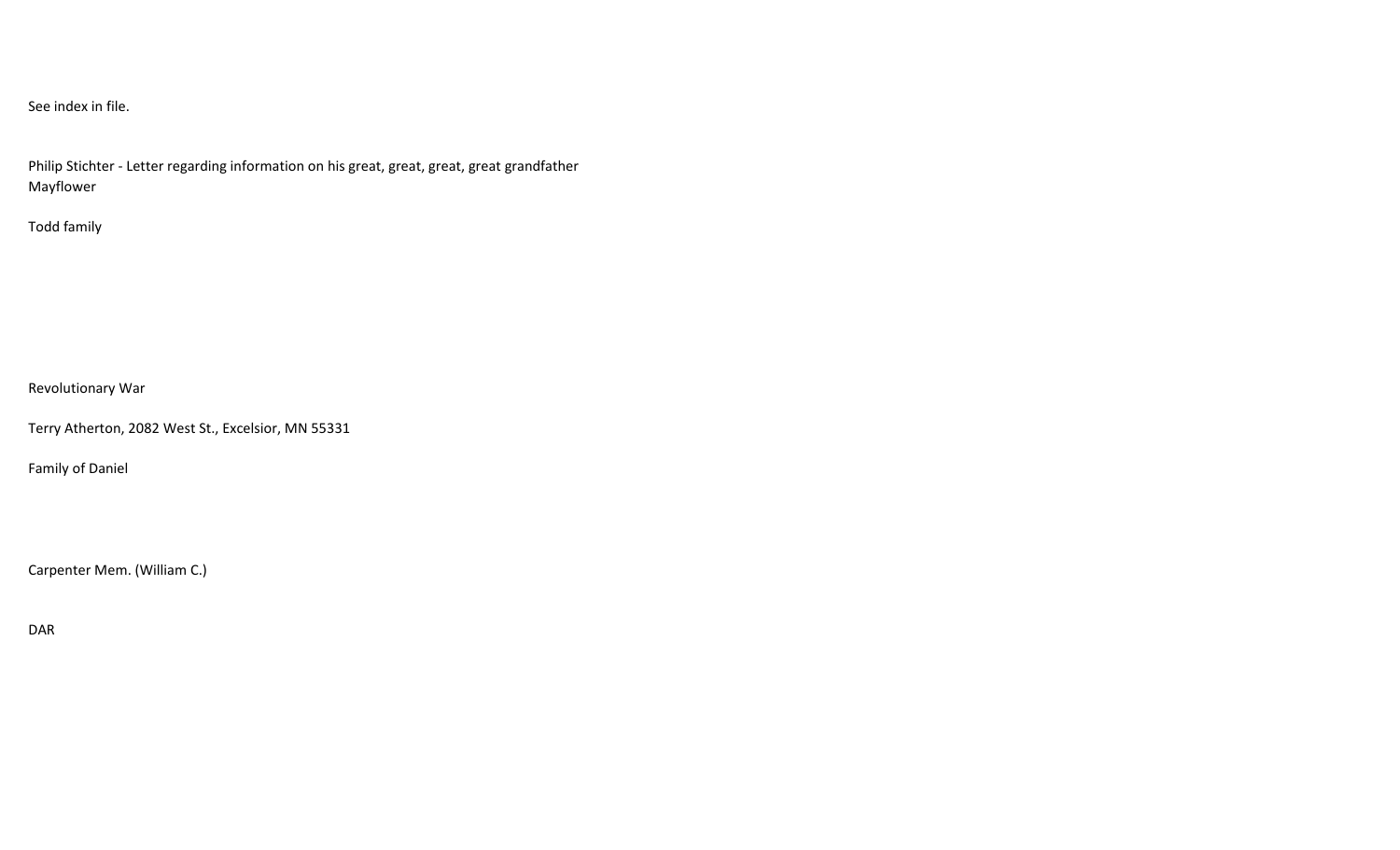# See index in file.

Philip Stichter - Letter regarding information on his great, great, great, great grandfather Mayflower

## Todd family

Revolutionary War

Terry Atherton, 2082 West St., Excelsior, MN 55331

Family of Daniel

Carpenter Mem. (William C.)

DAR